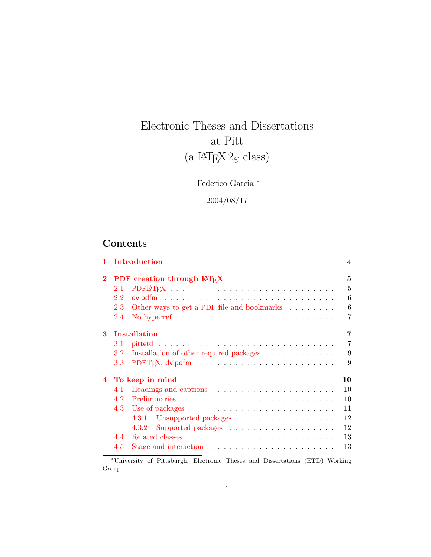# Electronic Theses and Dissertations at Pitt (a  $\mathop{\rm lATF}\nolimits_{\rm E} \!\! \!\!\!\!\! X \, 2_\varepsilon$  class)

Federico Garcia <sup>∗</sup>

2004/08/17

# Contents

|                |         | Introduction                                                             | 4              |
|----------------|---------|--------------------------------------------------------------------------|----------------|
| $\bf{2}$       |         | PDF creation through LATFX                                               | 5              |
|                | 2.1     |                                                                          | 5              |
|                | 2.2     |                                                                          | 6              |
|                | 2.3     | Other ways to get a PDF file and bookmarks                               | 6              |
|                | 2.4     |                                                                          | 7              |
| 3              |         | <b>Installation</b>                                                      | 7              |
|                | 3.1     |                                                                          | $\overline{7}$ |
|                | 3.2     | Installation of other required packages                                  | 9              |
|                | $3.3\,$ |                                                                          | 9              |
| $\overline{4}$ |         | To keep in mind                                                          | 10             |
|                | 4.1     |                                                                          | 10             |
|                | 4.2     |                                                                          | 10             |
|                | 4.3     |                                                                          | 11             |
|                |         |                                                                          | 12             |
|                |         | Supported packages $\ldots \ldots \ldots \ldots \ldots$<br>4.3.2         | 12             |
|                | 44      |                                                                          | 13             |
|                | 4.5     | Stage and interaction $\ldots \ldots \ldots \ldots \ldots \ldots \ldots$ | 13             |

<sup>∗</sup>University of Pittsburgh, Electronic Theses and Dissertations (ETD) Working Group.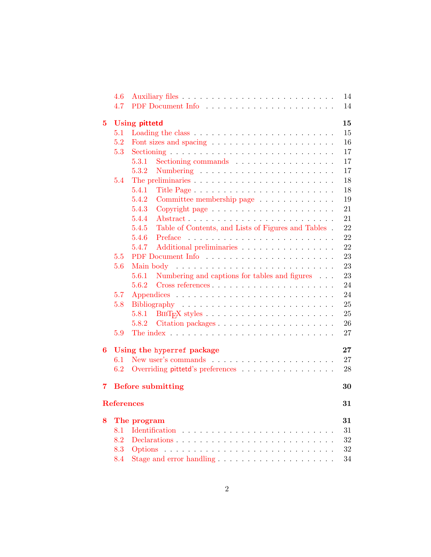|             | 4.6               |                                                                                                                                                                                                                                         | 14     |
|-------------|-------------------|-----------------------------------------------------------------------------------------------------------------------------------------------------------------------------------------------------------------------------------------|--------|
|             | 4.7               |                                                                                                                                                                                                                                         | 14     |
| $5^{\circ}$ |                   | <b>Using pittetd</b>                                                                                                                                                                                                                    | 15     |
|             | 5.1               | Loading the class $\ldots \ldots \ldots \ldots \ldots \ldots \ldots \ldots$                                                                                                                                                             | 15     |
|             | 5.2               |                                                                                                                                                                                                                                         | 16     |
|             | 5.3               |                                                                                                                                                                                                                                         | 17     |
|             |                   | 5.3.1<br>Sectioning commands entertainment of the section of the section of the section of the section of the section of the section of the section of the section of the section of the section of the section of the section of the s | 17     |
|             |                   | 5.3.2                                                                                                                                                                                                                                   | 17     |
|             | 5.4               |                                                                                                                                                                                                                                         | 18     |
|             |                   | 5.4.1                                                                                                                                                                                                                                   | 18     |
|             |                   | 5.4.2<br>Committee membership page                                                                                                                                                                                                      | 19     |
|             |                   | 5.4.3                                                                                                                                                                                                                                   | 21     |
|             |                   | 5.4.4<br>Abstract                                                                                                                                                                                                                       | 21     |
|             |                   | Table of Contents, and Lists of Figures and Tables.<br>5.4.5                                                                                                                                                                            | 22     |
|             |                   | 5.4.6                                                                                                                                                                                                                                   | 22     |
|             |                   | 5.4.7<br>Additional preliminaries                                                                                                                                                                                                       | 22     |
|             | 5.5               |                                                                                                                                                                                                                                         | 23     |
|             | 5.6               |                                                                                                                                                                                                                                         | 23     |
|             |                   | Numbering and captions for tables and figures<br>5.6.1                                                                                                                                                                                  | 23     |
|             |                   | 5.6.2                                                                                                                                                                                                                                   | 24     |
|             | 5.7               |                                                                                                                                                                                                                                         | 24     |
|             | 5.8               |                                                                                                                                                                                                                                         | 25     |
|             |                   | 5.8.1                                                                                                                                                                                                                                   | 25     |
|             |                   | 5.8.2                                                                                                                                                                                                                                   | 26     |
|             | 5.9               |                                                                                                                                                                                                                                         | 27     |
| 6           |                   | Using the hyperref package                                                                                                                                                                                                              | $27\,$ |
|             | 6.1               |                                                                                                                                                                                                                                         | 27     |
|             | 6.2               | Overriding pittetd's preferences                                                                                                                                                                                                        | 28     |
| $7^{\circ}$ |                   | <b>Before submitting</b>                                                                                                                                                                                                                | 30     |
|             | <b>References</b> |                                                                                                                                                                                                                                         | 31     |
| 8           |                   | The program                                                                                                                                                                                                                             | 31     |
|             | 8.1               |                                                                                                                                                                                                                                         | 31     |
|             | 8.2               |                                                                                                                                                                                                                                         | 32     |
|             | 8.3               |                                                                                                                                                                                                                                         | 32     |
|             | 8.4               | Stage and error handling                                                                                                                                                                                                                | 34     |
|             |                   |                                                                                                                                                                                                                                         |        |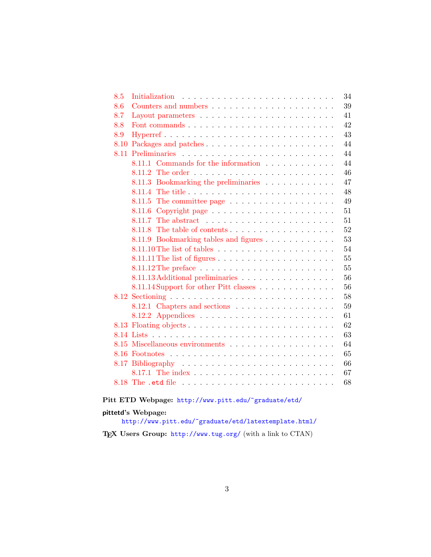| 8.5 | 34                                                                              |
|-----|---------------------------------------------------------------------------------|
| 8.6 | 39                                                                              |
| 8.7 | 41                                                                              |
| 8.8 | 42                                                                              |
| 8.9 | 43                                                                              |
|     | 44<br>8.10 Packages and patches                                                 |
|     | 44                                                                              |
|     | 8.11.1 Commands for the information<br>44                                       |
|     | 46                                                                              |
|     | 47<br>8.11.3 Bookmarking the preliminaries                                      |
|     | 48                                                                              |
|     | 49<br>8.11.5 The committee page $\dots \dots \dots \dots \dots \dots$           |
|     | 51                                                                              |
|     | 51<br>8.11.7<br>The abstract $\ldots \ldots \ldots \ldots \ldots \ldots \ldots$ |
|     | 52<br>8.11.8                                                                    |
|     | 53<br>8.11.9 Bookmarking tables and figures                                     |
|     | 54                                                                              |
|     | 55                                                                              |
|     | 55                                                                              |
|     | 56<br>8.11.13 Additional preliminaries                                          |
|     | 8.11.14 Support for other Pitt classes<br>56                                    |
|     | 58                                                                              |
|     | 59<br>8.12.1 Chapters and sections                                              |
|     | 61                                                                              |
|     | 62                                                                              |
|     | 63                                                                              |
|     | 64                                                                              |
|     | 65                                                                              |
|     | 66                                                                              |
|     | 67                                                                              |
|     | 68                                                                              |
|     |                                                                                 |

# Pitt ETD Webpage: <http://www.pitt.edu/~graduate/etd/>

# pittetd's Webpage:

<http://www.pitt.edu/~graduate/etd/latextemplate.html/>

TEX Users Group: <http://www.tug.org/> (with a link to CTAN)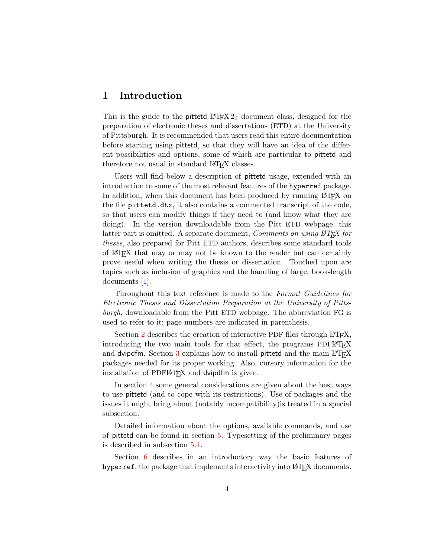# <span id="page-3-0"></span>1 Introduction

This is the guide to the pittetd  $\text{LATEX } 2\varepsilon$  document class, designed for the preparation of electronic theses and dissertations (ETD) at the University of Pittsburgh. It is recommended that users read this entire documentation before starting using pittetd, so that they will have an idea of the different possibilities and options, some of which are particular to pittetd and therefore not usual in standard LAT<sub>EX</sub> classes.

Users will find below a description of pittetd usage, extended with an introduction to some of the most relevant features of the hyperref package. In addition, when this document has been produced by running LAT<sub>EX</sub> on the file pittetd.dtx, it also contains a commented transcript of the code, so that users can modify things if they need to (and know what they are doing). In the version downloadable from the Pitt ETD webpage, this latter part is omitted. A separate document, *Comments on using*  $\cancel{B}TEX$  *for* theses, also prepared for Pitt ETD authors, describes some standard tools of LATEX that may or may not be known to the reader but can certainly prove useful when writing the thesis or dissertation. Touched upon are topics such as inclusion of graphics and the handling of large, book-length documents [\[1\]](#page-30-3).

Throughout this text reference is made to the Format Guidelines for Electronic Thesis and Dissertation Preparation at the University of Pittsburgh, downloadable from the Pitt ETD webpage. The abbreviation FG is used to refer to it; page numbers are indicated in parenthesis.

Section [2](#page-4-0) describes the creation of interactive PDF files through  $\Delta T$ <sub>F</sub>X, introducing the two main tools for that effect, the programs PDFLATEX and dvipdfm. Section  $3$  explains how to install pittetd and the main LAT<sub>E</sub>X packages needed for its proper working. Also, cursory information for the installation of PDFLAT<sub>EX</sub> and dvipdfm is given.

In section [4](#page-9-0) some general considerations are given about the best ways to use pittetd (and to cope with its restrictions). Use of packages and the issues it might bring about (notably incompatibility)is treated in a special subsection.

Detailed information about the options, available commands, and use of pittetd can be found in section [5.](#page-14-0) Typesetting of the preliminary pages is described in subsection [5.4.](#page-17-0)

Section [6](#page-26-1) describes in an introductory way the basic features of hyperref, the package that implements interactivity into LAT<sub>EX</sub> documents.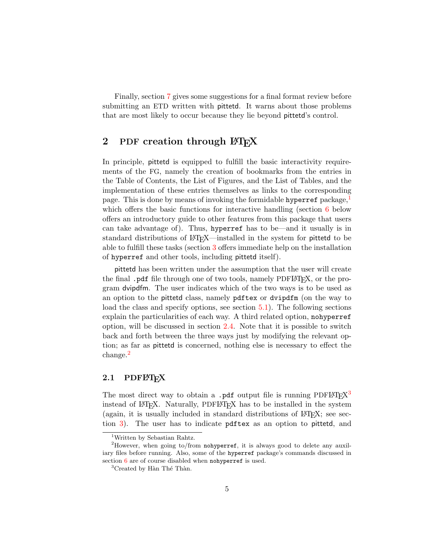Finally, section [7](#page-29-0) gives some suggestions for a final format review before submitting an ETD written with pittetd. It warns about those problems that are most likely to occur because they lie beyond pittetd's control.

# <span id="page-4-0"></span>2 PDF creation through  $\rm \mathbb{F}T_F X$

In principle, pittetd is equipped to fulfill the basic interactivity requirements of the FG, namely the creation of bookmarks from the entries in the Table of Contents, the List of Figures, and the List of Tables, and the implementation of these entries themselves as links to the corresponding page. This is done by means of invoking the formidable hyperref package,<sup>[1](#page-4-2)</sup> which offers the basic functions for interactive handling (section [6](#page-26-1) below offers an introductory guide to other features from this package that users can take advantage of). Thus, hyperref has to be—and it usually is in standard distributions of LATEX—installed in the system for pittetd to be able to fulfill these tasks (section [3](#page-6-1) offers immediate help on the installation of hyperref and other tools, including pittetd itself).

pittetd has been written under the assumption that the user will create the final .pdf file through one of two tools, namely PDFLAT<sub>F</sub>X, or the program dvipdfm. The user indicates which of the two ways is to be used as an option to the pittetd class, namely pdftex or dvipdfm (on the way to load the class and specify options, see section [5.1\)](#page-14-1). The following sections explain the particularities of each way. A third related option, nohyperref option, will be discussed in section [2.4.](#page-6-0) Note that it is possible to switch back and forth between the three ways just by modifying the relevant option; as far as pittetd is concerned, nothing else is necessary to effect the change.[2](#page-4-3)

### <span id="page-4-1"></span>2.1 PDFLAT<sub>F</sub>X

The most direct way to obtain a .pdf output file is running  $PDFETFX<sup>3</sup>$  $PDFETFX<sup>3</sup>$  $PDFETFX<sup>3</sup>$ instead of LATEX. Naturally, PDFLATEX has to be installed in the system (again, it is usually included in standard distributions of LAT<sub>E</sub>X; see section [3\)](#page-6-1). The user has to indicate pdftex as an option to pittetd, and

<span id="page-4-3"></span><span id="page-4-2"></span><sup>1</sup>Written by Sebastian Rahtz.

<sup>&</sup>lt;sup>2</sup>However, when going to/from nohyperref, it is always good to delete any auxiliary files before running. Also, some of the hyperref package's commands discussed in section [6](#page-26-1) are of course disabled when nohyperref is used.

<span id="page-4-4"></span> ${}^{3}$ Created by Hàn Thé Thàn.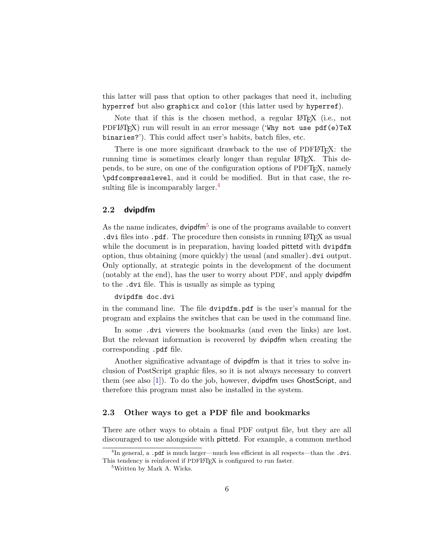this latter will pass that option to other packages that need it, including hyperref but also graphicx and color (this latter used by hyperref).

Note that if this is the chosen method, a regular LAT<sub>E</sub>X (i.e., not  $PDFM$ <sub>F</sub>X) run will result in an error message ('Why not use  $pdf(e)$ TeX binaries?'). This could affect user's habits, batch files, etc.

There is one more significant drawback to the use of PDFLAT<sub>EX</sub>: the running time is sometimes clearly longer than regular LAT<sub>EX</sub>. This depends, to be sure, on one of the configuration options of PDFTEX, namely \pdfcompresslevel, and it could be modified. But in that case, the re-sulting file is incomparably larger.<sup>[4](#page-5-2)</sup>

### <span id="page-5-0"></span>2.2 dvipdfm

As the name indicates, dvipdfm<sup>[5](#page-5-3)</sup> is one of the programs available to convert . dvi files into  $.$  pdf. The procedure then consists in running  $\mathbb{F} F[X]$  as usual while the document is in preparation, having loaded **pittetd** with dvipdfm option, thus obtaining (more quickly) the usual (and smaller).dvi output. Only optionally, at strategic points in the development of the document (notably at the end), has the user to worry about PDF, and apply dvipdfm to the .dvi file. This is usually as simple as typing

### dvipdfm doc.dvi

in the command line. The file dvipdfm.pdf is the user's manual for the program and explains the switches that can be used in the command line.

In some .dvi viewers the bookmarks (and even the links) are lost. But the relevant information is recovered by dvipdfm when creating the corresponding .pdf file.

Another significative advantage of dvipdfm is that it tries to solve inclusion of PostScript graphic files, so it is not always necessary to convert them (see also  $[1]$ ). To do the job, however, dvipdfm uses GhostScript, and therefore this program must also be installed in the system.

### <span id="page-5-1"></span>2.3 Other ways to get a PDF file and bookmarks

There are other ways to obtain a final PDF output file, but they are all discouraged to use alongside with pittetd. For example, a common method

<span id="page-5-2"></span><sup>&</sup>lt;sup>4</sup>In general, a .pdf is much larger—much less efficient in all respects—than the .dvi. This tendency is reinforced if PDFLATEX is configured to run faster.

<span id="page-5-3"></span><sup>5</sup>Written by Mark A. Wicks.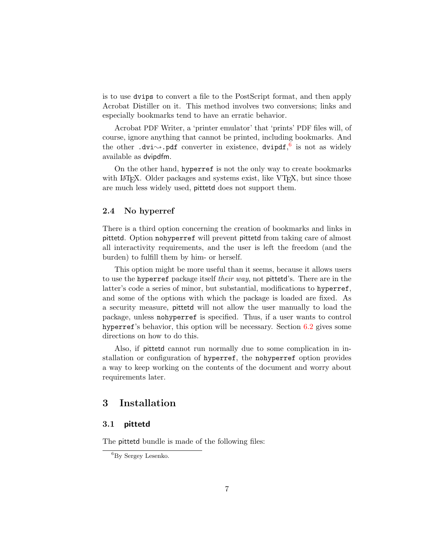is to use dvips to convert a file to the PostScript format, and then apply Acrobat Distiller on it. This method involves two conversions; links and especially bookmarks tend to have an erratic behavior.

Acrobat PDF Writer, a 'printer emulator' that 'prints' PDF files will, of course, ignore anything that cannot be printed, including bookmarks. And the other .dvi $\sim$ .pdf converter in existence, dvipdf, <sup>[6](#page-6-3)</sup> is not as widely available as dvipdfm.

On the other hand, hyperref is not the only way to create bookmarks with LATEX. Older packages and systems exist, like VTEX, but since those are much less widely used, pittetd does not support them.

### <span id="page-6-0"></span>2.4 No hyperref

There is a third option concerning the creation of bookmarks and links in pittetd. Option nohyperref will prevent pittetd from taking care of almost all interactivity requirements, and the user is left the freedom (and the burden) to fulfill them by him- or herself.

This option might be more useful than it seems, because it allows users to use the hyperref package itself *their way*, not pitted's. There are in the latter's code a series of minor, but substantial, modifications to hyperref, and some of the options with which the package is loaded are fixed. As a security measure, pittetd will not allow the user manually to load the package, unless nohyperref is specified. Thus, if a user wants to control hyperref's behavior, this option will be necessary. Section [6.2](#page-27-0) gives some directions on how to do this.

Also, if pittetd cannot run normally due to some complication in installation or configuration of hyperref, the nohyperref option provides a way to keep working on the contents of the document and worry about requirements later.

# <span id="page-6-1"></span>3 Installation

## <span id="page-6-2"></span>3.1 pittetd

The pittetd bundle is made of the following files:

<span id="page-6-3"></span><sup>6</sup>By Sergey Lesenko.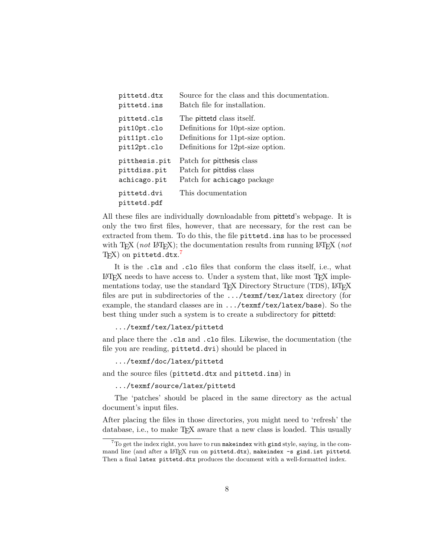| pittetd.dtx                | Source for the class and this documentation. |
|----------------------------|----------------------------------------------|
| pittetd.ins                | Batch file for installation.                 |
| pittetd.cls                | The pittetd class itself.                    |
| pit10pt.clo                | Definitions for 10 pt-size option.           |
| pit11pt.clo                | Definitions for 11 pt-size option.           |
| pit12pt.clo                | Definitions for 12pt-size option.            |
| pitthesis.pit              | Patch for pitthesis class                    |
| pittdiss.pit               | Patch for pittdiss class                     |
| achicago.pit               | Patch for achicago package                   |
| pittetd.dvi<br>pittetd.pdf | This documentation                           |

All these files are individually downloadable from pittetd's webpage. It is only the two first files, however, that are necessary, for the rest can be extracted from them. To do this, the file pittetd.ins has to be processed with T<sub>E</sub>X (*not* L<sup>AT</sup>EX); the documentation results from running LATEX (*not*  $\text{Tr}(X)$  on pittetd.dtx.<sup>[7](#page-7-0)</sup>

It is the .cls and .clo files that conform the class itself, i.e., what  $\Delta F$ F/LATEX needs to have access to. Under a system that, like most TFX implementations today, use the standard TEX Directory Structure (TDS), LATEX files are put in subdirectories of the .../texmf/tex/latex directory (for example, the standard classes are in .../texmf/tex/latex/base). So the best thing under such a system is to create a subdirectory for pittetd:

.../texmf/tex/latex/pittetd

and place there the .cls and .clo files. Likewise, the documentation (the file you are reading, pittetd.dvi) should be placed in

.../texmf/doc/latex/pittetd

and the source files (pittetd.dtx and pittetd.ins) in

.../texmf/source/latex/pittetd

The 'patches' should be placed in the same directory as the actual document's input files.

After placing the files in those directories, you might need to 'refresh' the database, i.e., to make T<sub>EX</sub> aware that a new class is loaded. This usually

<span id="page-7-0"></span> $7$ To get the index right, you have to run makeindex with gind style, saying, in the command line (and after a LATEX run on pittetd.dtx), makeindex -s gind.ist pittetd. Then a final latex pittetd.dtx produces the document with a well-formatted index.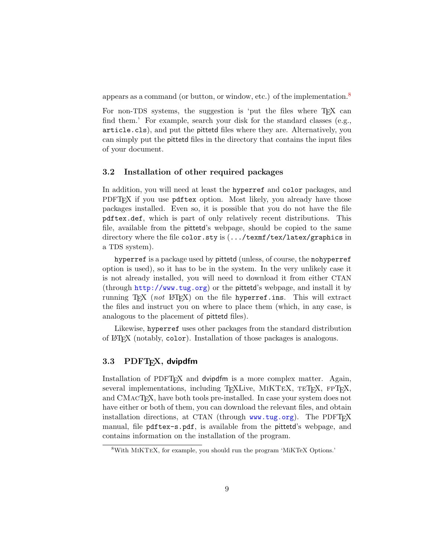appears as a command (or button, or window, etc.) of the implementation.[8](#page-8-2)

For non-TDS systems, the suggestion is 'put the files where T<sub>EX</sub> can find them.' For example, search your disk for the standard classes (e.g., article.cls), and put the pittetd files where they are. Alternatively, you can simply put the pittetd files in the directory that contains the input files of your document.

### <span id="page-8-0"></span>3.2 Installation of other required packages

In addition, you will need at least the hyperref and color packages, and PDFT<sub>F</sub>X if you use pdftex option. Most likely, you already have those packages installed. Even so, it is possible that you do not have the file pdftex.def, which is part of only relatively recent distributions. This file, available from the pittetd's webpage, should be copied to the same directory where the file color.sty is (.../texmf/tex/latex/graphics in a TDS system).

hyperref is a package used by pittetd (unless, of course, the nohyperref option is used), so it has to be in the system. In the very unlikely case it is not already installed, you will need to download it from either CTAN (through <http://www.tug.org>) or the pittetd's webpage, and install it by running T<sub>EX</sub> (not LAT<sub>EX</sub>) on the file hyperref.ins. This will extract the files and instruct you on where to place them (which, in any case, is analogous to the placement of pittetd files).

Likewise, hyperref uses other packages from the standard distribution of LATEX (notably, color). Installation of those packages is analogous.

# <span id="page-8-1"></span>3.3 PDFT<sub>F</sub>X, dvipdfm

Installation of PDFTEX and dvipdfm is a more complex matter. Again, several implementations, including TEXLive, MIKTEX, TETEX, FPTEX, and CMACT<sub>E</sub>X, have both tools pre-installed. In case your system does not have either or both of them, you can download the relevant files, and obtain installation directions, at CTAN (through  $www.tug.org)$  $www.tug.org)$ . The PDFT $FX$ manual, file pdftex-s.pdf, is available from the pittetd's webpage, and contains information on the installation of the program.

<span id="page-8-2"></span><sup>8</sup>With MiKTeX, for example, you should run the program 'MiKTeX Options.'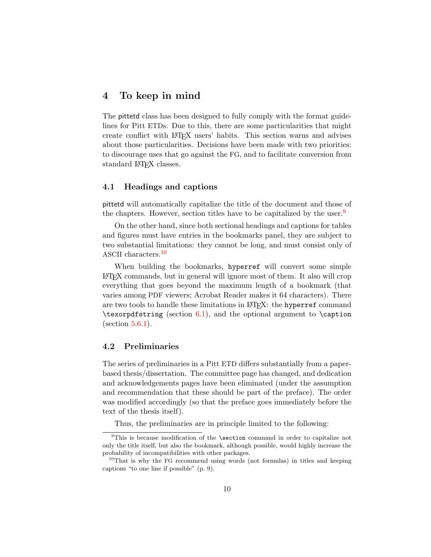# <span id="page-9-0"></span>4 To keep in mind

The pittetd class has been designed to fully comply with the format guidelines for Pitt ETDs. Due to this, there are some particularities that might create conflict with LATEX users' habits. This section warns and advises about those particularities. Decisions have been made with two priorities: to discourage uses that go against the FG, and to facilitate conversion from standard LAT<sub>EX</sub> classes.

### <span id="page-9-1"></span>4.1 Headings and captions

pittetd will automatically capitalize the title of the document and those of the chapters. However, section titles have to be capitalized by the user.<sup>[9](#page-9-3)</sup>

On the other hand, since both sectional headings and captions for tables and figures must have entries in the bookmarks panel, they are subject to two substantial limitations: they cannot be long, and must consist only of ASCII characters.<sup>[10](#page-9-4)</sup>

When building the bookmarks, hyperref will convert some simple LATEX commands, but in general will ignore most of them. It also will crop everything that goes beyond the maximum length of a bookmark (that varies among PDF viewers; Acrobat Reader makes it 64 characters). There are two tools to handle these limitations in L<sup>AT</sup>FX: the hyperref command  $\text{test}$  (section [6.1\)](#page-26-2), and the optional argument to  $\text{test}$  $(section 5.6.1).$  $(section 5.6.1).$  $(section 5.6.1).$ 

### <span id="page-9-2"></span>4.2 Preliminaries

The series of preliminaries in a Pitt ETD differs substantially from a paperbased thesis/dissertation. The committee page has changed, and dedication and acknowledgements pages have been eliminated (under the assumption and recommendation that these should be part of the preface). The order was modified accordingly (so that the preface goes immediately before the text of the thesis itself).

<span id="page-9-3"></span>Thus, the preliminaries are in principle limited to the following:

<sup>&</sup>lt;sup>9</sup>This is because modification of the **\section** command in order to capitalize not only the title itself, but also the bookmark, although possible, would highly increase the probability of incompatibilities with other packages.

<span id="page-9-4"></span><sup>&</sup>lt;sup>10</sup>That is why the FG recommend using words (not formulas) in titles and keeping captions "to one line if possible" (p. 9).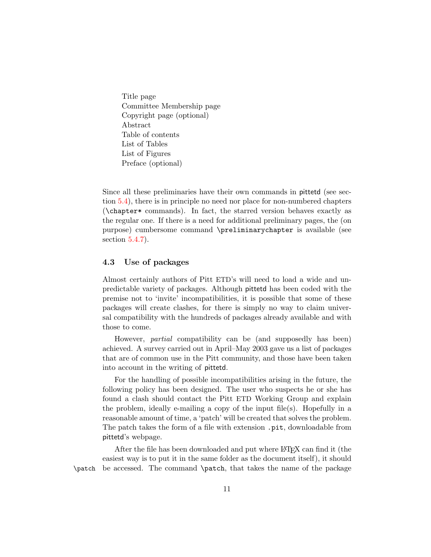Title page Committee Membership page Copyright page (optional) Abstract Table of contents List of Tables List of Figures Preface (optional)

Since all these preliminaries have their own commands in pittetd (see section [5.4\)](#page-17-0), there is in principle no need nor place for non-numbered chapters (\chapter\* commands). In fact, the starred version behaves exactly as the regular one. If there is a need for additional preliminary pages, the (on purpose) cumbersome command \preliminarychapter is available (see section [5.4.7\)](#page-21-2).

### <span id="page-10-0"></span>4.3 Use of packages

Almost certainly authors of Pitt ETD's will need to load a wide and unpredictable variety of packages. Although pittetd has been coded with the premise not to 'invite' incompatibilities, it is possible that some of these packages will create clashes, for there is simply no way to claim universal compatibility with the hundreds of packages already available and with those to come.

However, partial compatibility can be (and supposedly has been) achieved. A survey carried out in April–May 2003 gave us a list of packages that are of common use in the Pitt community, and those have been taken into account in the writing of pittetd.

For the handling of possible incompatibilities arising in the future, the following policy has been designed. The user who suspects he or she has found a clash should contact the Pitt ETD Working Group and explain the problem, ideally e-mailing a copy of the input file(s). Hopefully in a reasonable amount of time, a 'patch' will be created that solves the problem. The patch takes the form of a file with extension .pit, downloadable from pittetd's webpage.

After the file has been downloaded and put where LAT<sub>EX</sub> can find it (the easiest way is to put it in the same folder as the document itself), it should \patch be accessed. The command \patch, that takes the name of the package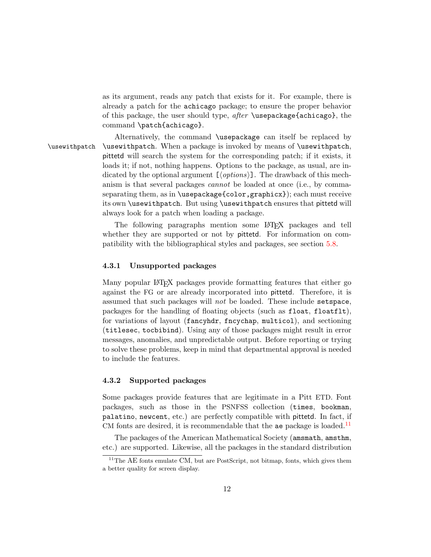as its argument, reads any patch that exists for it. For example, there is already a patch for the achicago package; to ensure the proper behavior of this package, the user should type, after \usepackage{achicago}, the command \patch{achicago}.

Alternatively, the command \usepackage can itself be replaced by \usewithpatch \usewithpatch. When a package is invoked by means of \usewithpatch, pittetd will search the system for the corresponding patch; if it exists, it loads it; if not, nothing happens. Options to the package, as usual, are indicated by the optional argument  $[*options*$ . The drawback of this mechanism is that several packages cannot be loaded at once (i.e., by commaseparating them, as in \usepackage{color,graphicx}); each must receive its own \usewithpatch. But using \usewithpatch ensures that pittetd will always look for a patch when loading a package.

> The following paragraphs mention some LATEX packages and tell whether they are supported or not by pittetd. For information on compatibility with the bibliographical styles and packages, see section [5.8.](#page-24-0)

### <span id="page-11-0"></span>4.3.1 Unsupported packages

Many popular LATEX packages provide formatting features that either go against the FG or are already incorporated into pittetd. Therefore, it is assumed that such packages will not be loaded. These include setspace, packages for the handling of floating objects (such as float, floatflt), for variations of layout (fancyhdr, fncychap, multicol), and sectioning (titlesec, tocbibind). Using any of those packages might result in error messages, anomalies, and unpredictable output. Before reporting or trying to solve these problems, keep in mind that departmental approval is needed to include the features.

### <span id="page-11-1"></span>4.3.2 Supported packages

Some packages provide features that are legitimate in a Pitt ETD. Font packages, such as those in the PSNFSS collection (times, bookman, palatino, newcent, etc.) are perfectly compatible with pittetd. In fact, if CM fonts are desired, it is recommendable that the ae package is loaded.<sup>[11](#page-11-2)</sup>

The packages of the American Mathematical Society (amsmath, amsthm, etc.) are supported. Likewise, all the packages in the standard distribution

<span id="page-11-2"></span> $11$ <sup>The AE</sup> fonts emulate CM, but are PostScript, not bitmap, fonts, which gives them a better quality for screen display.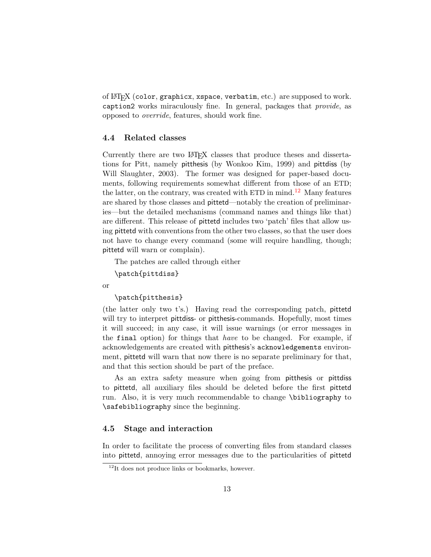of LATEX (color, graphicx, xspace, verbatim, etc.) are supposed to work. caption2 works miraculously fine. In general, packages that provide, as opposed to override, features, should work fine.

### <span id="page-12-0"></span>4.4 Related classes

Currently there are two LAT<sub>EX</sub> classes that produce theses and dissertations for Pitt, namely pitthesis (by Wonkoo Kim, 1999) and pittdiss (by Will Slaughter, 2003). The former was designed for paper-based documents, following requirements somewhat different from those of an ETD; the latter, on the contrary, was created with ETD in mind.<sup>[12](#page-12-2)</sup> Many features are shared by those classes and pittetd—notably the creation of preliminaries—but the detailed mechanisms (command names and things like that) are different. This release of pittetd includes two 'patch' files that allow using pittetd with conventions from the other two classes, so that the user does not have to change every command (some will require handling, though; pittetd will warn or complain).

The patches are called through either

```
\patch{pittdiss}
```
or

\patch{pitthesis}

(the latter only two t's.) Having read the corresponding patch, pittetd will try to interpret pittdiss- or pitthesis-commands. Hopefully, most times it will succeed; in any case, it will issue warnings (or error messages in the final option) for things that have to be changed. For example, if acknowledgements are created with pitthesis's acknowledgements environment, pittetd will warn that now there is no separate preliminary for that, and that this section should be part of the preface.

As an extra safety measure when going from pitthesis or pittdiss to pittetd, all auxiliary files should be deleted before the first pittetd run. Also, it is very much recommendable to change \bibliography to \safebibliography since the beginning.

### <span id="page-12-1"></span>4.5 Stage and interaction

In order to facilitate the process of converting files from standard classes into pittetd, annoying error messages due to the particularities of pittetd

<span id="page-12-2"></span> $12$ It does not produce links or bookmarks, however.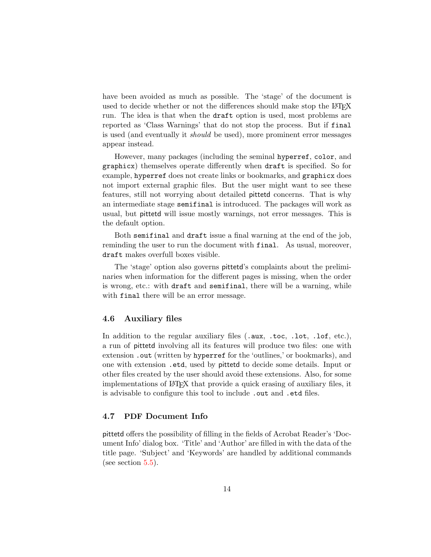have been avoided as much as possible. The 'stage' of the document is used to decide whether or not the differences should make stop the LAT<sub>EX</sub> run. The idea is that when the draft option is used, most problems are reported as 'Class Warnings' that do not stop the process. But if final is used (and eventually it should be used), more prominent error messages appear instead.

However, many packages (including the seminal hyperref, color, and graphicx) themselves operate differently when draft is specified. So for example, hyperref does not create links or bookmarks, and graphicx does not import external graphic files. But the user might want to see these features, still not worrying about detailed pittetd concerns. That is why an intermediate stage semifinal is introduced. The packages will work as usual, but pittetd will issue mostly warnings, not error messages. This is the default option.

Both semifinal and draft issue a final warning at the end of the job, reminding the user to run the document with final. As usual, moreover, draft makes overfull boxes visible.

The 'stage' option also governs pittetd's complaints about the preliminaries when information for the different pages is missing, when the order is wrong, etc.: with draft and semifinal, there will be a warning, while with **final** there will be an error message.

### <span id="page-13-0"></span>4.6 Auxiliary files

In addition to the regular auxiliary files (.aux, .toc, .lot, .lof, etc.), a run of pittetd involving all its features will produce two files: one with extension .out (written by hyperref for the 'outlines,' or bookmarks), and one with extension .etd, used by pittetd to decide some details. Input or other files created by the user should avoid these extensions. Also, for some implementations of LATEX that provide a quick erasing of auxiliary files, it is advisable to configure this tool to include .out and .etd files.

### <span id="page-13-1"></span>4.7 PDF Document Info

pittetd offers the possibility of filling in the fields of Acrobat Reader's 'Document Info' dialog box. 'Title' and 'Author' are filled in with the data of the title page. 'Subject' and 'Keywords' are handled by additional commands (see section  $5.5$ ).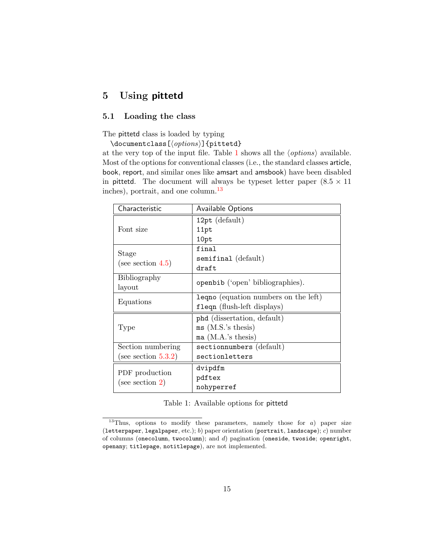# <span id="page-14-0"></span>5 Using pittetd

# <span id="page-14-1"></span>5.1 Loading the class

The pittetd class is loaded by typing

\documentclass[ $\langle options \rangle$ ]{pittetd}

at the very top of the input file. Table [1](#page-14-2) shows all the  $\langle options \rangle$  available. Most of the options for conventional classes (i.e., the standard classes article, book, report, and similar ones like amsart and amsbook) have been disabled in pittetd. The document will always be typeset letter paper  $(8.5 \times 11)$ inches), portrait, and one column.<sup>[13](#page-14-3)</sup>

| Characteristic                        | Available Options                |
|---------------------------------------|----------------------------------|
|                                       | $12pt$ (default)                 |
| Font size                             | 11pt                             |
|                                       | 10pt                             |
| Stage                                 | final                            |
| (see section $4.5$ )                  | semifinal (default)              |
|                                       | draft                            |
| Bibliography                          | openbib ('open' bibliographies). |
| layout                                |                                  |
| Equations                             | lequation numbers on the left)   |
|                                       | fleqn (flush-left displays)      |
|                                       | phd (dissertation, default)      |
| 'Type                                 | $ms$ (M.S.'s thesis)             |
|                                       | ma $(M.A.'s$ thesis)             |
| Section numbering                     | sectionnumbers (default)         |
| (see section $5.3.2$ )                | sectionletters                   |
|                                       | dvipdfm                          |
| PDF production<br>(see section $2)$ ) | pdftex                           |
|                                       | nohyperref                       |

<span id="page-14-2"></span>

| Table 1: Available options for pittetd |  |  |
|----------------------------------------|--|--|
|                                        |  |  |

<span id="page-14-3"></span> $13$ Thus, options to modify these parameters, namely those for a) paper size (letterpaper, legalpaper, etc.); b) paper orientation (portrait, landscape); c) number of columns (onecolumn, twocolumn); and d) pagination (oneside, twoside; openright, openany; titlepage, notitlepage), are not implemented.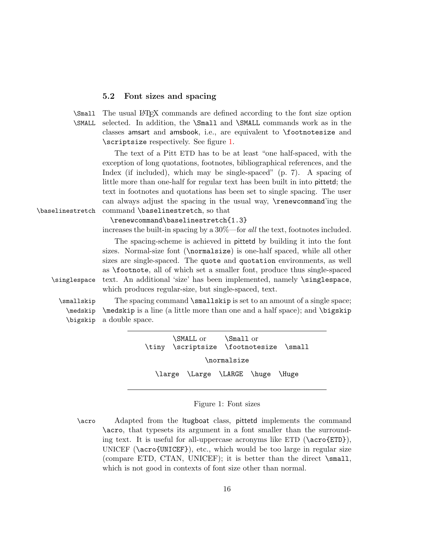### <span id="page-15-0"></span>5.2 Font sizes and spacing

\Small The usual LATEX commands are defined according to the font size option \SMALL selected. In addition, the \Small and \SMALL commands work as in the classes amsart and amsbook, i.e., are equivalent to \footnotesize and \scriptsize respectively. See figure [1.](#page-15-1)

The text of a Pitt ETD has to be at least "one half-spaced, with the exception of long quotations, footnotes, bibliographical references, and the Index (if included), which may be single-spaced" (p. 7). A spacing of little more than one-half for regular text has been built in into pittetd; the text in footnotes and quotations has been set to single spacing. The user can always adjust the spacing in the usual way, \renewcommand'ing the \baselinestretch command \baselinestretch, so that

\renewcommand\baselinestretch{1.3}

increases the built-in spacing by a 30%—for all the text, footnotes included.

The spacing-scheme is achieved in pittetd by building it into the font sizes. Normal-size font (\normalsize) is one-half spaced, while all other sizes are single-spaced. The quote and quotation environments, as well as \footnote, all of which set a smaller font, produce thus single-spaced \singlespace text. An additional 'size' has been implemented, namely \singlespace, which produces regular-size, but single-spaced, text.

\medskip \bigskip

\smallskip The spacing command \smallskip is set to an amount of a single space; \medskip is a line (a little more than one and a half space); and \bigskip a double space.

> \tiny \SMALL or \scriptsize \Small or \footnotesize \small \normalsize \large \Large \LARGE \huge \Huge

### <span id="page-15-1"></span>Figure 1: Font sizes

\acro Adapted from the ltugboat class, pittetd implements the command \acro, that typesets its argument in a font smaller than the surrounding text. It is useful for all-uppercase acronyms like ETD  $(\a{error[ETD})$ , UNICEF ( $\text{UNICEF}$ ), etc., which would be too large in regular size (compare ETD, CTAN, UNICEF); it is better than the direct \small, which is not good in contexts of font size other than normal.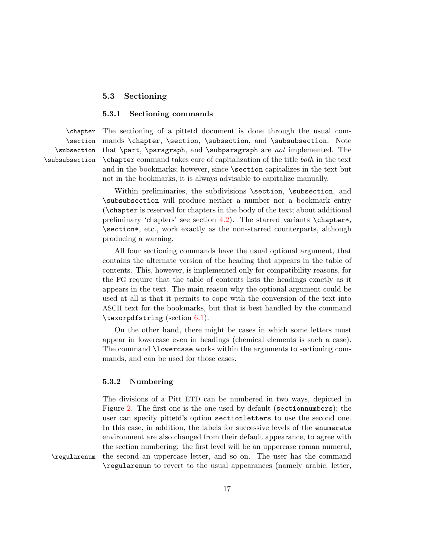### <span id="page-16-0"></span>5.3 Sectioning

### <span id="page-16-1"></span>5.3.1 Sectioning commands

\section \subsection \subsubsection

\chapter The sectioning of a pittetd document is done through the usual com mands \chapter, \section, \subsection, and \subsubsection. Note that  $\part$ ,  $\paralspace{0.15mm}$  and  $\substack{\substack{\text{nonlongrightarrow} \text{on}}}$  are not implemented. The \chapter command takes care of capitalization of the title both in the text and in the bookmarks; however, since \section capitalizes in the text but not in the bookmarks, it is always advisable to capitalize manually.

> Within preliminaries, the subdivisions \section, \subsection, and \subsubsection will produce neither a number nor a bookmark entry (\chapter is reserved for chapters in the body of the text; about additional preliminary 'chapters' see section [4.2\)](#page-9-2). The starred variants \chapter\*, \section\*, etc., work exactly as the non-starred counterparts, although producing a warning.

> All four sectioning commands have the usual optional argument, that contains the alternate version of the heading that appears in the table of contents. This, however, is implemented only for compatibility reasons, for the FG require that the table of contents lists the headings exactly as it appears in the text. The main reason why the optional argument could be used at all is that it permits to cope with the conversion of the text into ASCII text for the bookmarks, but that is best handled by the command \texorpdfstring (section [6.1\)](#page-26-2).

> On the other hand, there might be cases in which some letters must appear in lowercase even in headings (chemical elements is such a case). The command \lowercase works within the arguments to sectioning commands, and can be used for those cases.

### <span id="page-16-2"></span>5.3.2 Numbering

The divisions of a Pitt ETD can be numbered in two ways, depicted in Figure [2.](#page-17-2) The first one is the one used by default (sectionnumbers); the user can specify pittetd's option sectionletters to use the second one. In this case, in addition, the labels for successive levels of the enumerate environment are also changed from their default appearance, to agree with the section numbering: the first level will be an uppercase roman numeral, \regularenum the second an uppercase letter, and so on. The user has the command \regularenum to revert to the usual appearances (namely arabic, letter,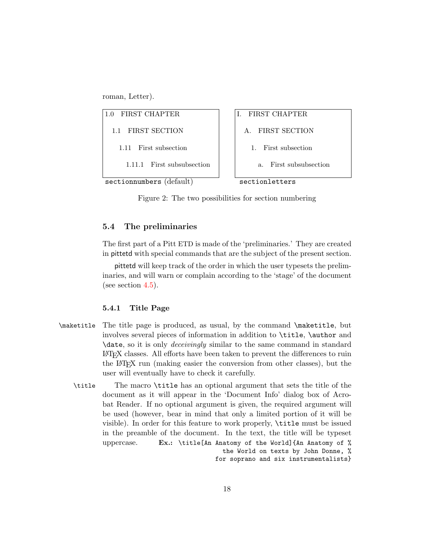roman, Letter).



<span id="page-17-2"></span>Figure 2: The two possibilities for section numbering

### <span id="page-17-0"></span>5.4 The preliminaries

The first part of a Pitt ETD is made of the 'preliminaries.' They are created in pittetd with special commands that are the subject of the present section.

pittetd will keep track of the order in which the user typesets the preliminaries, and will warn or complain according to the 'stage' of the document (see section [4.5\)](#page-12-1).

### <span id="page-17-1"></span>5.4.1 Title Page

- \maketitle The title page is produced, as usual, by the command \maketitle, but involves several pieces of information in addition to \title, \author and \date, so it is only deceivingly similar to the same command in standard LATEX classes. All efforts have been taken to prevent the differences to ruin the LATEX run (making easier the conversion from other classes), but the user will eventually have to check it carefully.
	- \title The macro \title has an optional argument that sets the title of the document as it will appear in the 'Document Info' dialog box of Acrobat Reader. If no optional argument is given, the required argument will be used (however, bear in mind that only a limited portion of it will be visible). In order for this feature to work properly, \title must be issued in the preamble of the document. In the text, the title will be typeset uppercase. Ex.: \title[An Anatomy of the World]{An Anatomy of % the World on texts by John Donne, % for soprano and six instrumentalists}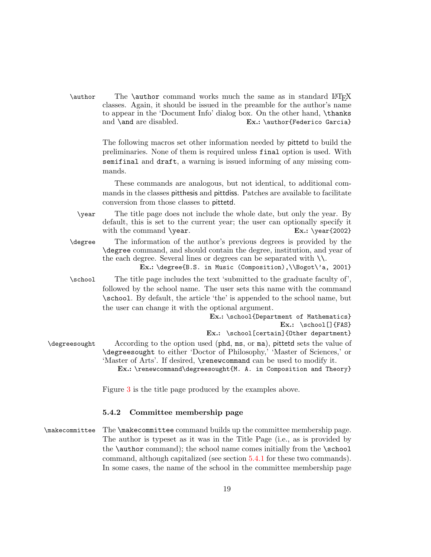\author The \author command works much the same as in standard LATEX classes. Again, it should be issued in the preamble for the author's name to appear in the 'Document Info' dialog box. On the other hand, \thanks and \and are disabled. Ex.: \author{Federico Garcia}

> The following macros set other information needed by pittetd to build the preliminaries. None of them is required unless final option is used. With semifinal and draft, a warning is issued informing of any missing commands.

> These commands are analogous, but not identical, to additional commands in the classes pitthesis and pittdiss. Patches are available to facilitate conversion from those classes to pittetd.

\year The title page does not include the whole date, but only the year. By default, this is set to the current year; the user can optionally specify it with the command  $\gamma$  and  $\gamma$ . Ex.:  $\gamma$  [2002]

\degree The information of the author's previous degrees is provided by the \degree command, and should contain the degree, institution, and year of the each degree. Several lines or degrees can be separated with \\.

Ex.: \degree{B.S. in Music (Composition),\\Bogot\'a, 2001}

\school The title page includes the text 'submitted to the graduate faculty of', followed by the school name. The user sets this name with the command \school. By default, the article 'the' is appended to the school name, but the user can change it with the optional argument.

> Ex.: \school{Department of Mathematics} Ex.: \school[]{FAS} Ex.: \school[certain]{Other department}

\degreesought According to the option used (phd, ms, or ma), pittetd sets the value of \degreesought to either 'Doctor of Philosophy,' 'Master of Sciences,' or 'Master of Arts'. If desired, \renewcommand can be used to modify it.

Ex.: \renewcommand\degreesought{M. A. in Composition and Theory}

Figure [3](#page-19-0) is the title page produced by the examples above.

### <span id="page-18-0"></span>5.4.2 Committee membership page

\makecommittee The \makecommittee command builds up the committee membership page. The author is typeset as it was in the Title Page (i.e., as is provided by the \author command); the school name comes initially from the \school command, although capitalized (see section [5.4.1](#page-17-1) for these two commands). In some cases, the name of the school in the committee membership page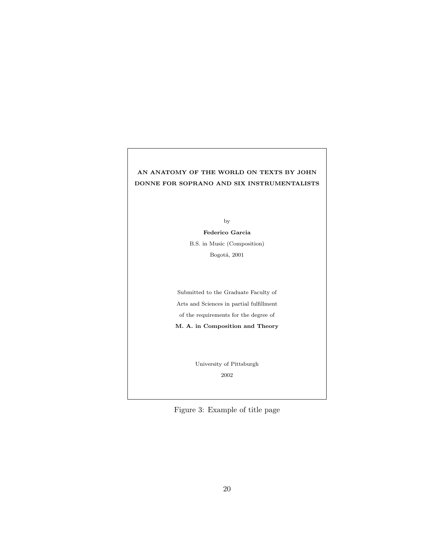# AN ANATOMY OF THE WORLD ON TEXTS BY JOHN DONNE FOR SOPRANO AND SIX INSTRUMENTALISTS

by

Federico Garcia B.S. in Music (Composition) Bogotá, $2001\,$ 

Submitted to the Graduate Faculty of Arts and Sciences in partial fulfillment of the requirements for the degree of M. A. in Composition and Theory

> University of Pittsburgh 2002

<span id="page-19-0"></span>Figure 3: Example of title page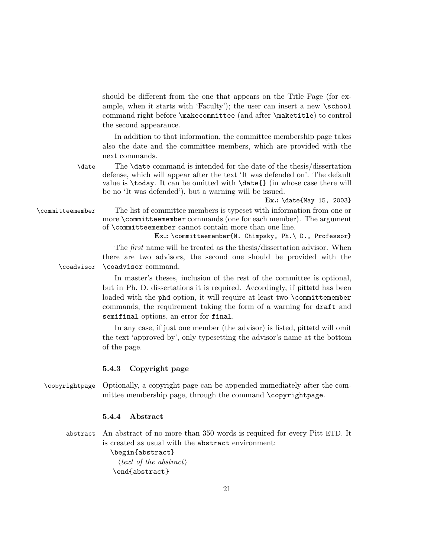should be different from the one that appears on the Title Page (for example, when it starts with 'Faculty'); the user can insert a new \school command right before \makecommittee (and after \maketitle) to control the second appearance.

In addition to that information, the committee membership page takes also the date and the committee members, which are provided with the next commands.

\date The \date command is intended for the date of the thesis/dissertation defense, which will appear after the text 'It was defended on'. The default value is  $\text{to}$ . It can be omitted with  $\text{}$  (in whose case there will be no 'It was defended'), but a warning will be issued.

Ex.: \date{May 15, 2003}

\committeemember The list of committee members is typeset with information from one or more \committeemember commands (one for each member). The argument of \committeemember cannot contain more than one line.

Ex.: \committeemember{N. Chimpsky, Ph.\ D., Professor}

The first name will be treated as the thesis/dissertation advisor. When there are two advisors, the second one should be provided with the \coadvisor \coadvisor command.

> In master's theses, inclusion of the rest of the committee is optional, but in Ph. D. dissertations it is required. Accordingly, if pittetd has been loaded with the phd option, it will require at least two \committemember commands, the requirement taking the form of a warning for draft and semifinal options, an error for final.

> In any case, if just one member (the advisor) is listed, pittetd will omit the text 'approved by', only typesetting the advisor's name at the bottom of the page.

### <span id="page-20-0"></span>5.4.3 Copyright page

\copyrightpage Optionally, a copyright page can be appended immediately after the committee membership page, through the command \copyrightpage.

### <span id="page-20-1"></span>5.4.4 Abstract

abstract An abstract of no more than 350 words is required for every Pitt ETD. It is created as usual with the abstract environment:

> \begin{abstract}  $\langle text \space of \space the \space abstract \rangle$ \end{abstract}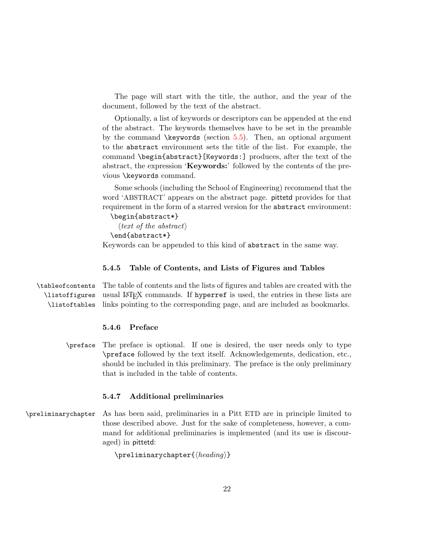The page will start with the title, the author, and the year of the document, followed by the text of the abstract.

Optionally, a list of keywords or descriptors can be appended at the end of the abstract. The keywords themselves have to be set in the preamble by the command  $\key words$  (section [5.5\)](#page-22-0). Then, an optional argument to the abstract environment sets the title of the list. For example, the command \begin{abstract}[Keywords:] produces, after the text of the abstract, the expression 'Keywords:' followed by the contents of the previous \keywords command.

Some schools (including the School of Engineering) recommend that the word 'ABSTRACT' appears on the abstract page. pittetd provides for that requirement in the form of a starred version for the abstract environment:

\begin{abstract\*}

 $\langle text \space of \space the \space abstract \rangle$ \end{abstract\*}

Keywords can be appended to this kind of abstract in the same way.

### <span id="page-21-0"></span>5.4.5 Table of Contents, and Lists of Figures and Tables

\tableofcontents The table of contents and the lists of figures and tables are created with the \listoffigures \listoftables usual LATEX commands. If hyperref is used, the entries in these lists are links pointing to the corresponding page, and are included as bookmarks.

# <span id="page-21-1"></span>5.4.6 Preface

\preface The preface is optional. If one is desired, the user needs only to type \preface followed by the text itself. Acknowledgements, dedication, etc., should be included in this preliminary. The preface is the only preliminary that is included in the table of contents.

### <span id="page-21-2"></span>5.4.7 Additional preliminaries

\preliminarychapter As has been said, preliminaries in a Pitt ETD are in principle limited to those described above. Just for the sake of completeness, however, a command for additional preliminaries is implemented (and its use is discouraged) in pittetd:

 $\Theta$  \preliminarychapter{ $\{heading\}$ }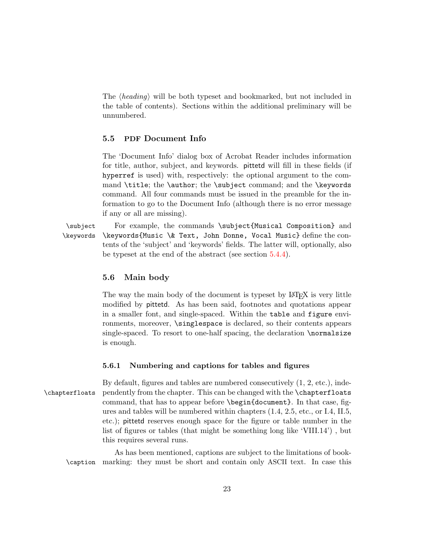The  $\langle heading\rangle$  will be both typeset and bookmarked, but not included in the table of contents). Sections within the additional preliminary will be unnumbered.

# <span id="page-22-0"></span>5.5 PDF Document Info

The 'Document Info' dialog box of Acrobat Reader includes information for title, author, subject, and keywords. pittetd will fill in these fields (if hyperref is used) with, respectively: the optional argument to the command \title; the \author; the \subject command; and the \keywords command. All four commands must be issued in the preamble for the information to go to the Document Info (although there is no error message if any or all are missing).

\subject For example, the commands \subject{Musical Composition} and \keywords \keywords{Music \& Text, John Donne, Vocal Music} define the contents of the 'subject' and 'keywords' fields. The latter will, optionally, also be typeset at the end of the abstract (see section [5.4.4\)](#page-20-1).

### <span id="page-22-1"></span>5.6 Main body

The way the main body of the document is typeset by LATEX is very little modified by pittetd. As has been said, footnotes and quotations appear in a smaller font, and single-spaced. Within the table and figure environments, moreover, \singlespace is declared, so their contents appears single-spaced. To resort to one-half spacing, the declaration \normalsize is enough.

### <span id="page-22-2"></span>5.6.1 Numbering and captions for tables and figures

By default, figures and tables are numbered consecutively (1, 2, etc.), inde- \chapterfloats pendently from the chapter. This can be changed with the \chapterfloats command, that has to appear before \begin{document}. In that case, figures and tables will be numbered within chapters (1.4, 2.5, etc., or I.4, II.5, etc.); pittetd reserves enough space for the figure or table number in the list of figures or tables (that might be something long like 'VIII.14') , but this requires several runs.

As has been mentioned, captions are subject to the limitations of book- \caption marking: they must be short and contain only ASCII text. In case this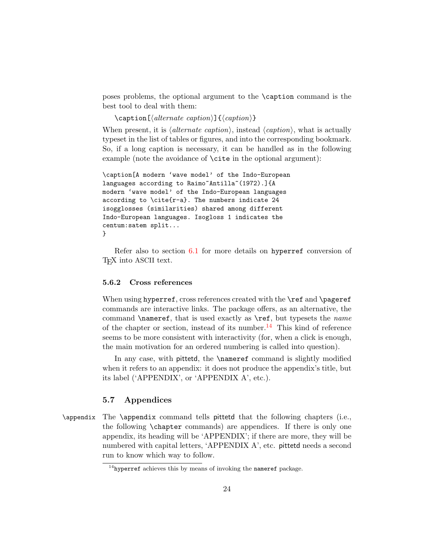poses problems, the optional argument to the \caption command is the best tool to deal with them:

 $\c{a}$  \caption[ $\langle$ alternate caption)]{ $\langle$ caption}}

When present, it is  $\langle$ *alternate caption* $\rangle$ , instead  $\langle$ *caption* $\rangle$ , what is actually typeset in the list of tables or figures, and into the corresponding bookmark. So, if a long caption is necessary, it can be handled as in the following example (note the avoidance of \cite in the optional argument):

```
\caption[A modern 'wave model' of the Indo-European
languages according to Raimo<sup>~</sup>Antilla<sup>~</sup>(1972).]{A
modern 'wave model' of the Indo-European languages
according to \c{ite\r-a}. The numbers indicate 24
isogglosses (similarities) shared among different
Indo-European languages. Isogloss 1 indicates the
centum:satem split...
}
```
Refer also to section [6.1](#page-26-2) for more details on hyperref conversion of TEX into ASCII text.

### <span id="page-23-0"></span>5.6.2 Cross references

When using hyperref, cross references created with the \ref and \pageref commands are interactive links. The package offers, as an alternative, the command **\nameref**, that is used exactly as **\ref**, but typesets the *name* of the chapter or section, instead of its number.<sup>[14](#page-23-2)</sup> This kind of reference seems to be more consistent with interactivity (for, when a click is enough, the main motivation for an ordered numbering is called into question).

In any case, with pittetd, the **\nameref** command is slightly modified when it refers to an appendix: it does not produce the appendix's title, but its label ('APPENDIX', or 'APPENDIX A', etc.).

### <span id="page-23-1"></span>5.7 Appendices

\appendix The \appendix command tells pittetd that the following chapters (i.e., the following \chapter commands) are appendices. If there is only one appendix, its heading will be 'APPENDIX'; if there are more, they will be numbered with capital letters, 'APPENDIX A', etc. pittetd needs a second run to know which way to follow.

<span id="page-23-2"></span> $14$ hyperref achieves this by means of invoking the nameref package.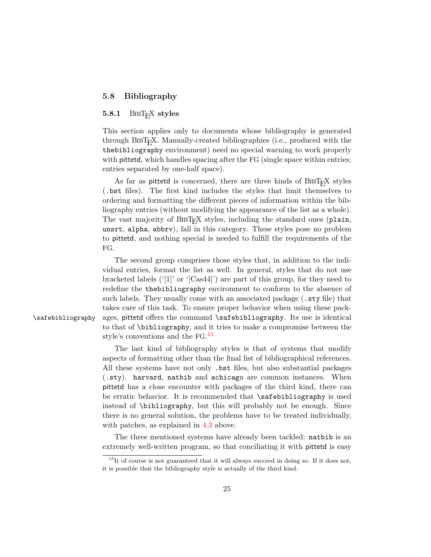### <span id="page-24-0"></span>5.8 Bibliography

# <span id="page-24-1"></span>5.8.1 BIBT<sub>E</sub>X styles

This section applies only to documents whose bibliography is generated through  $BIBT<sub>F</sub>X$ . Manually-created bibliographies (i.e., produced with the thebibliography environment) need no special warning to work properly with **pittetd**, which handles spacing after the FG (single space within entries; entries separated by one-half space).

As far as pittetd is concerned, there are three kinds of BIBTEX styles (.bst files). The first kind includes the styles that limit themselves to ordering and formatting the different pieces of information within the bibliography entries (without modifying the appearance of the list as a whole). The vast majority of BIBT<sub>E</sub>X styles, including the standard ones (plain, unsrt, alpha, abbrv), fall in this category. These styles pose no problem to pittetd, and nothing special is needed to fulfill the requirements of the FG.

The second group comprises those styles that, in addition to the individual entries, format the list as well. In general, styles that do not use bracketed labels ('[1]' or '[Cas44]') are part of this group, for they need to redefine the thebibliography environment to conform to the absence of such labels. They usually come with an associated package (.sty file) that takes care of this task. To ensure proper behavior when using these pack- \safebibliography ages, pittetd offers the command \safebibliography. Its use is identical to that of \bibliography, and it tries to make a compromise between the style's conventions and the FG. [15](#page-24-2)

> The last kind of bibliography styles is that of systems that modify aspects of formatting other than the final list of bibliographical references. All these systems have not only .bst files, but also substantial packages (.sty). harvard, natbib and achicago are common instances. When pittetd has a close encounter with packages of the third kind, there can be erratic behavior. It is recommended that \safebibliography is used instead of \bibliography, but this will probably not be enough. Since there is no general solution, the problems have to be treated individually, with patches, as explained in  $4.3$  above.

> The three mentioned systems have already been tackled: natbib is an extremely well-written program, so that conciliating it with pittetd is easy

<span id="page-24-2"></span> $15$ It of course is not guaranteed that it will always succeed in doing so. If it does not, it is possible that the bibliography style is actually of the third kind.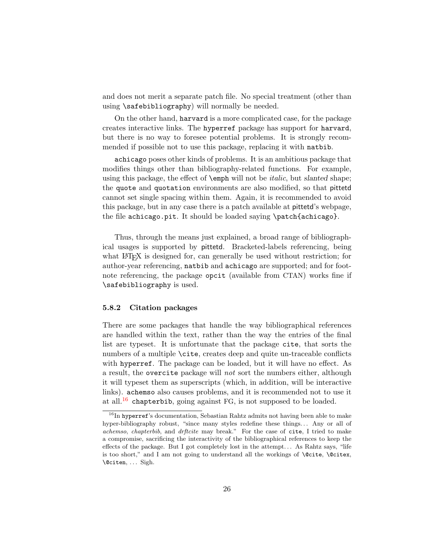and does not merit a separate patch file. No special treatment (other than using \safebibliography) will normally be needed.

On the other hand, harvard is a more complicated case, for the package creates interactive links. The hyperref package has support for harvard, but there is no way to foresee potential problems. It is strongly recommended if possible not to use this package, replacing it with natbib.

achicago poses other kinds of problems. It is an ambitious package that modifies things other than bibliography-related functions. For example, using this package, the effect of  $\epsilon$  will not be *italic*, but *slanted* shape; the quote and quotation environments are also modified, so that pittetd cannot set single spacing within them. Again, it is recommended to avoid this package, but in any case there is a patch available at pittetd's webpage, the file achicago.pit. It should be loaded saying \patch{achicago}.

Thus, through the means just explained, a broad range of bibliographical usages is supported by pittetd. Bracketed-labels referencing, being what LAT<sub>EX</sub> is designed for, can generally be used without restriction; for author-year referencing, natbib and achicago are supported; and for footnote referencing, the package opcit (available from CTAN) works fine if \safebibliography is used.

### <span id="page-25-0"></span>5.8.2 Citation packages

There are some packages that handle the way bibliographical references are handled within the text, rather than the way the entries of the final list are typeset. It is unfortunate that the package cite, that sorts the numbers of a multiple  $\text{cite}$ , creates deep and quite un-traceable conflicts with hyperref. The package can be loaded, but it will have no effect. As a result, the overcite package will not sort the numbers either, although it will typeset them as superscripts (which, in addition, will be interactive links). achemso also causes problems, and it is recommended not to use it at all.[16](#page-25-1) chapterbib, going against FG, is not supposed to be loaded.

<span id="page-25-1"></span> $16$ In hyperref's documentation, Sebastian Rahtz admits not having been able to make hyper-bibliography robust, "since many styles redefine these things... Any or all of achemso, chapterbib, and drftcite may break." For the case of cite, I tried to make a compromise, sacrificing the interactivity of the bibliographical references to keep the effects of the package. But I got completely lost in the attempt. . . As Rahtz says, "life is too short," and I am not going to understand all the workings of  $\Set{\text{Ccite}, \@cite}$ , \@citen, . . . Sigh.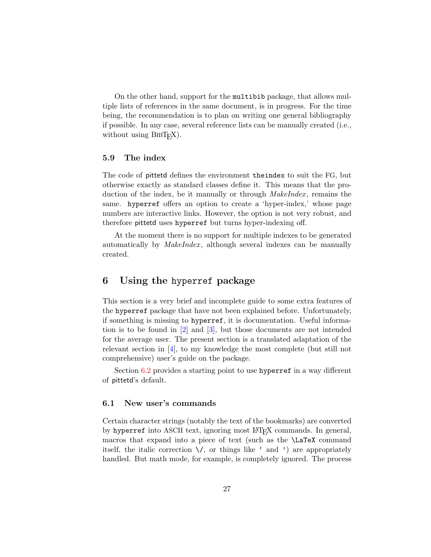On the other hand, support for the multibib package, that allows multiple lists of references in the same document, is in progress. For the time being, the recommendation is to plan on writing one general bibliography if possible. In any case, several reference lists can be manually created (i.e., without using  $BIBT<sub>E</sub>X$ ).

### <span id="page-26-0"></span>5.9 The index

The code of pittetd defines the environment theindex to suit the FG, but otherwise exactly as standard classes define it. This means that the production of the index, be it manually or through  $\textit{MakeIndex}$ , remains the same. hyperref offers an option to create a 'hyper-index,' whose page numbers are interactive links. However, the option is not very robust, and therefore pittetd uses hyperref but turns hyper-indexing off.

At the moment there is no support for multiple indexes to be generated automatically by *MakeIndex*, although several indexes can be manually created.

# <span id="page-26-1"></span>6 Using the hyperref package

This section is a very brief and incomplete guide to some extra features of the hyperref package that have not been explained before. Unfortunately, if something is missing to hyperref, it is documentation. Useful information is to be found in [\[2\]](#page-30-4) and [\[3\]](#page-30-5), but those documents are not intended for the average user. The present section is a translated adaptation of the relevant section in [\[4\]](#page-30-6), to my knowledge the most complete (but still not comprehensive) user's guide on the package.

Section [6.2](#page-27-0) provides a starting point to use hyperref in a way different of pittetd's default.

### <span id="page-26-2"></span>6.1 New user's commands

Certain character strings (notably the text of the bookmarks) are converted by hyperref into ASCII text, ignoring most LATEX commands. In general, macros that expand into a piece of text (such as the \LaTeX command itself, the italic correction  $\setminus$ , or things like ' and ') are appropriately handled. But math mode, for example, is completely ignored. The process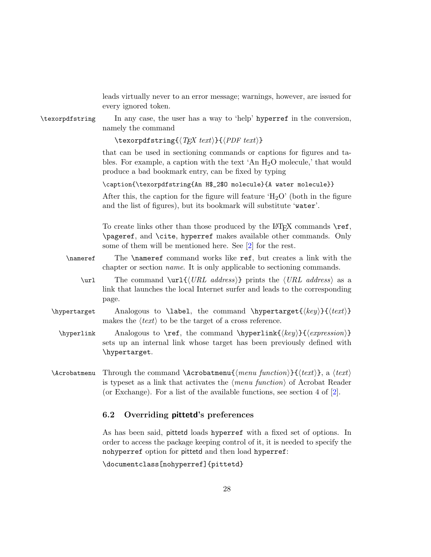leads virtually never to an error message; warnings, however, are issued for every ignored token.

\texorpdfstring In any case, the user has a way to 'help' hyperref in the conversion, namely the command

\texorpdfstring{ $\langle TEX \text{ text} \rangle$ }{ $\langle PDF \text{ text} \rangle$ }

that can be used in sectioning commands or captions for figures and tables. For example, a caption with the text 'An  $H_2O$  molecule,' that would produce a bad bookmark entry, can be fixed by typing

\caption{\texorpdfstring{An H\$\_2\$O molecule}{A water molecule}}

After this, the caption for the figure will feature ' $H_2O'$ ' (both in the figure and the list of figures), but its bookmark will substitute 'water'.

To create links other than those produced by the  $\LaTeX{}$  commands \ref, \pageref, and \cite, hyperref makes available other commands. Only some of them will be mentioned here. See [\[2\]](#page-30-4) for the rest.

- \nameref The \nameref command works like ref, but creates a link with the chapter or section name. It is only applicable to sectioning commands.
	- \url The command \url{ $\langle URL \ address\rangle$ } prints the  $\langle URL \ address\rangle$  as a link that launches the local Internet surfer and leads to the corresponding page.
- \hypertarget Analogous to \label, the command \hypertarget{ $\langle key \rangle$ }{ $\langle text \rangle$ } makes the  $\langle text \rangle$  to be the target of a cross reference.
- \hyperlink Analogous to \ref, the command \hyperlink{ $\{key\}$ { $\{expression\}$ } sets up an internal link whose target has been previously defined with \hypertarget.
- \Acrobatmenu Through the command \Acrobatmenu $\{$ menu functioni)}{\textianabilities is typeset as a link that activates the  $\langle menu\ function \rangle$  of Acrobat Reader (or Exchange). For a list of the available functions, see section 4 of  $[2]$ .

### <span id="page-27-0"></span>6.2 Overriding pittetd's preferences

As has been said, pittetd loads hyperref with a fixed set of options. In order to access the package keeping control of it, it is needed to specify the nohyperref option for pittetd and then load hyperref:

\documentclass[nohyperref]{pittetd}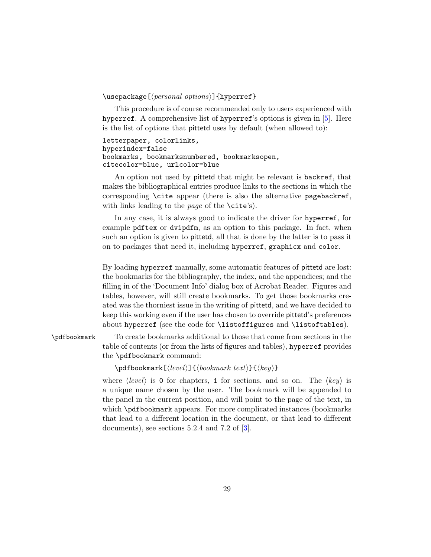### $\{\text{v} \$  (personal options)] {hyperref}

This procedure is of course recommended only to users experienced with hyperref. A comprehensive list of hyperref's options is given in [\[5\]](#page-30-7). Here is the list of options that pittetd uses by default (when allowed to):

```
letterpaper, colorlinks,
hyperindex=false
bookmarks, bookmarksnumbered, bookmarksopen,
citecolor=blue, urlcolor=blue
```
An option not used by pittetd that might be relevant is backref, that makes the bibliographical entries produce links to the sections in which the corresponding \cite appear (there is also the alternative pagebackref, with links leading to the page of the  $\text{cite's)}.$ 

In any case, it is always good to indicate the driver for hyperref, for example pdftex or dvipdfm, as an option to this package. In fact, when such an option is given to pittetd, all that is done by the latter is to pass it on to packages that need it, including hyperref, graphicx and color.

By loading hyperref manually, some automatic features of pittetd are lost: the bookmarks for the bibliography, the index, and the appendices; and the filling in of the 'Document Info' dialog box of Acrobat Reader. Figures and tables, however, will still create bookmarks. To get those bookmarks created was the thorniest issue in the writing of pittetd, and we have decided to keep this working even if the user has chosen to override pittetd's preferences about hyperref (see the code for \listoffigures and \listoftables).

\pdfbookmark To create bookmarks additional to those that come from sections in the table of contents (or from the lists of figures and tables), hyperref provides the \pdfbookmark command:

 $\Phi{\boldsymbol{\delta}}({\boldsymbol{\delta}})$  \pdfbookmark  $[\langle{\boldsymbol{\delta}}({\boldsymbol{\delta}}) {\boldsymbol{\delta}}({\boldsymbol{\delta}})$ 

where  $\langle level \rangle$  is 0 for chapters, 1 for sections, and so on. The  $\langle key \rangle$  is a unique name chosen by the user. The bookmark will be appended to the panel in the current position, and will point to the page of the text, in which \pdfbookmark appears. For more complicated instances (bookmarks that lead to a different location in the document, or that lead to different documents), see sections 5.2.4 and 7.2 of [\[3\]](#page-30-5).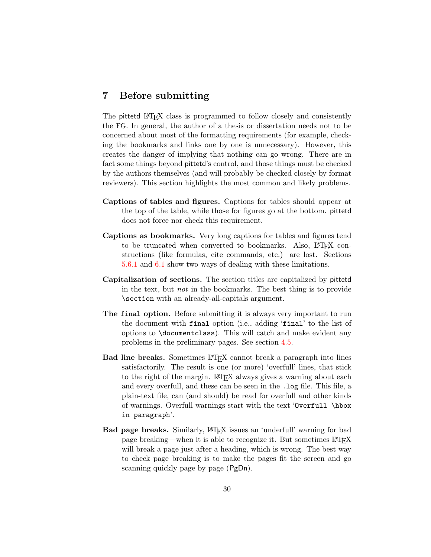# <span id="page-29-0"></span>7 Before submitting

The pittetd LATFX class is programmed to follow closely and consistently the FG. In general, the author of a thesis or dissertation needs not to be concerned about most of the formatting requirements (for example, checking the bookmarks and links one by one is unnecessary). However, this creates the danger of implying that nothing can go wrong. There are in fact some things beyond pittetd's control, and those things must be checked by the authors themselves (and will probably be checked closely by format reviewers). This section highlights the most common and likely problems.

- Captions of tables and figures. Captions for tables should appear at the top of the table, while those for figures go at the bottom. pittetd does not force nor check this requirement.
- Captions as bookmarks. Very long captions for tables and figures tend to be truncated when converted to bookmarks. Also, LAT<sub>EX</sub> constructions (like formulas, cite commands, etc.) are lost. Sections [5.6.1](#page-22-2) and [6.1](#page-26-2) show two ways of dealing with these limitations.
- Capitalization of sections. The section titles are capitalized by pittetd in the text, but not in the bookmarks. The best thing is to provide \section with an already-all-capitals argument.
- The final option. Before submitting it is always very important to run the document with final option (i.e., adding 'final' to the list of options to \documentclass). This will catch and make evident any problems in the preliminary pages. See section [4.5.](#page-12-1)
- Bad line breaks. Sometimes LATEX cannot break a paragraph into lines satisfactorily. The result is one (or more) 'overfull' lines, that stick to the right of the margin. LAT<sub>EX</sub> always gives a warning about each and every overfull, and these can be seen in the .log file. This file, a plain-text file, can (and should) be read for overfull and other kinds of warnings. Overfull warnings start with the text 'Overfull \hbox in paragraph'.
- Bad page breaks. Similarly, LATEX issues an 'underfull' warning for bad page breaking—when it is able to recognize it. But sometimes LATEX will break a page just after a heading, which is wrong. The best way to check page breaking is to make the pages fit the screen and go scanning quickly page by page (PgDn).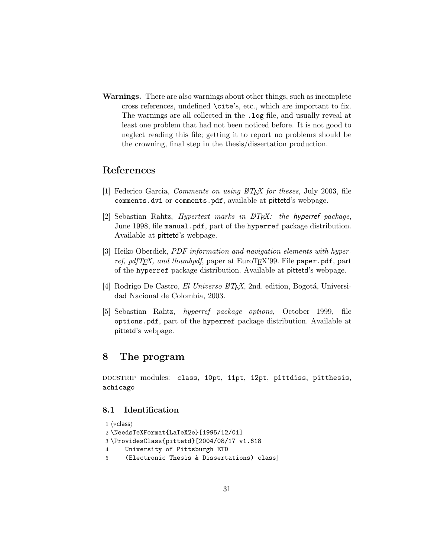Warnings. There are also warnings about other things, such as incomplete cross references, undefined \cite's, etc., which are important to fix. The warnings are all collected in the .log file, and usually reveal at least one problem that had not been noticed before. It is not good to neglect reading this file; getting it to report no problems should be the crowning, final step in the thesis/dissertation production.

# References

- <span id="page-30-3"></span><span id="page-30-0"></span>[1] Federico Garcia, *Comments on using*  $\cancel{B}T\cancel{F}X$  *for theses*, July 2003, file comments.dvi or comments.pdf, available at pittetd's webpage.
- <span id="page-30-4"></span>[2] Sebastian Rahtz, *Hypertext marks in*  $\cancel{B}T_F X$ *: the hyperref package*, June 1998, file manual.pdf, part of the hyperref package distribution. Available at pittetd's webpage.
- <span id="page-30-5"></span>[3] Heiko Oberdiek, *PDF information and navigation elements with hyper*ref, pdfT<sub>E</sub>X, and thumbpdf, paper at EuroT<sub>E</sub>X'99. File paper.pdf, part of the hyperref package distribution. Available at pittetd's webpage.
- <span id="page-30-6"></span>[4] Rodrigo De Castro, El Universo  $\cancel{B}TEX$ , 2nd. edition, Bogotá, Universidad Nacional de Colombia, 2003.
- <span id="page-30-7"></span>[5] Sebastian Rahtz, hyperref package options, October 1999, file options.pdf, part of the hyperref package distribution. Available at pittetd's webpage.

# <span id="page-30-1"></span>8 The program

docstrip modules: class, 10pt, 11pt, 12pt, pittdiss, pitthesis, achicago

# <span id="page-30-2"></span>8.1 Identification

```
1 \langle *class \rangle2 \NeedsTeXFormat{LaTeX2e}[1995/12/01]
3 \ProvidesClass{pittetd}[2004/08/17 v1.618
4 University of Pittsburgh ETD
5 (Electronic Thesis & Dissertations) class]
```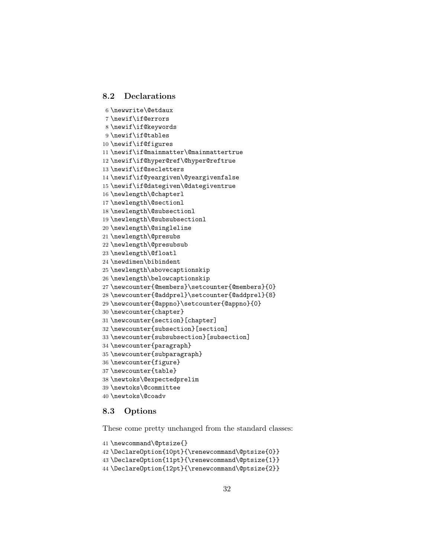### <span id="page-31-0"></span>8.2 Declarations

```
6 \newwrite\@etdaux
7 \newif\if@errors
8 \newif\if@keywords
9 \newif\if@tables
10 \newif\if@figures
11 \newif\if@mainmatter\@mainmattertrue
12 \newif\if@hyper@ref\@hyper@reftrue
13 \newif\if@secletters
14 \newif\if@yeargiven\@yeargivenfalse
15 \newif\if@dategiven\@dategiventrue
16 \newlength\@chapterl
17 \newlength\@sectionl
18 \newlength\@subsectionl
19 \newlength\@subsubsectionl
20 \newlength\@singleline
21 \newlength\@presubs
22 \newlength\@presubsub
23 \newlength\@floatl
24 \newdimen\bibindent
25 \newlength\abovecaptionskip
26 \newlength\belowcaptionskip
27 \newcounter{@members}\setcounter{@members}{0}
28 \newcounter{@addprel}\setcounter{@addprel}{8}
29 \newcounter{@appno}\setcounter{@appno}{0}
30 \newcounter{chapter}
31 \newcounter{section}[chapter]
32 \newcounter{subsection}[section]
33 \newcounter{subsubsection}[subsection]
34 \newcounter{paragraph}
35 \newcounter{subparagraph}
36 \newcounter{figure}
37 \newcounter{table}
38 \newtoks\@expectedprelim
39 \newtoks\@committee
40 \newtoks\@coadv
```
### <span id="page-31-1"></span>8.3 Options

These come pretty unchanged from the standard classes:

```
41 \newcommand\@ptsize{}
42 \DeclareOption{10pt}{\renewcommand\@ptsize{0}}
43 \DeclareOption{11pt}{\renewcommand\@ptsize{1}}
44 \DeclareOption{12pt}{\renewcommand\@ptsize{2}}
```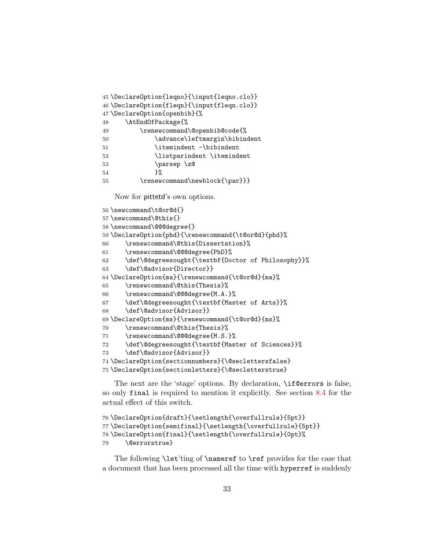```
45 \DeclareOption{leqno}{\input{leqno.clo}}
46 \DeclareOption{fleqn}{\input{fleqn.clo}}
47 \DeclareOption{openbib}{%
48 \AtEndOfPackage{%
49 \renewcommand\@openbib@code{%
50 \advance\leftmargin\bibindent
51 \temindent -\bibindent
52 \listparindent \itemindent
53 \parsep \z@
54 } }55 \renewcommand\newblock{\par}}}
```
Now for pittetd's own options.

```
56 \newcommand\t@or@d{}
57 \newcommand\@this{}
58 \newcommand\@@@degree{}
59 \DeclareOption{phd}{\renewcommand{\t@or@d}{phd}%
60 \renewcommand\@this{Dissertation}%
61 \renewcommand\@@@degree{PhD}%
62 \def\@degreesought{\textbf{Doctor of Philosophy}}%
63 \def\@advisor{Director}}
64 \DeclareOption{ma}{\renewcommand{\t@or@d}{ma}%
65 \renewcommand\@this{Thesis}%
66 \renewcommand\@@@degree{M.A.}%
67 \def\@degreesought{\textbf{Master of Arts}}%
68 \def\@advisor{Advisor}}
69 \DeclareOption{ms}{\renewcommand{\t@or@d}{ms}%
70 \renewcommand\@this{Thesis}%
71 \renewcommand\@@@degree{M.S.}%
72 \def\@degreesought{\textbf{Master of Sciences}}%
73 \def\@advisor{Advisor}}
74 \DeclareOption{sectionnumbers}{\@seclettersfalse}
75 \DeclareOption{sectionletters}{\@secletterstrue}
```
The next are the 'stage' options. By declaration,  $\iota$ **f Cerrors** is false, so only final is required to mention it explicitly. See section [8.4](#page-33-0) for the actual effect of this switch.

```
76 \DeclareOption{draft}{\setlength{\overfullrule}{5pt}}
77 \DeclareOption{semifinal}{\setlength{\overfullrule}{5pt}}
78 \DeclareOption{final}{\setlength{\overfullrule}{0pt}%
79 \@errorstrue}
```
The following  $\let'ting of \nameref to \ref provides for the case that$ a document that has been processed all the time with hyperref is suddenly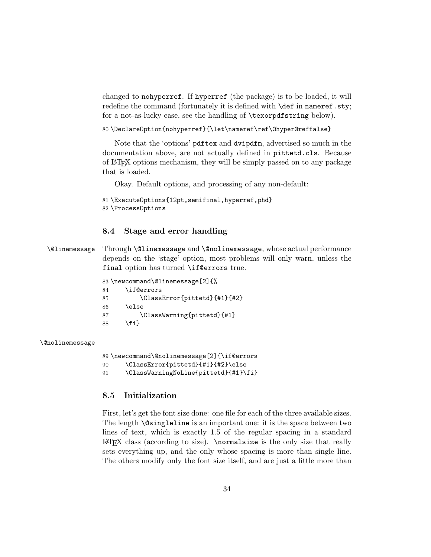changed to nohyperref. If hyperref (the package) is to be loaded, it will redefine the command (fortunately it is defined with **\def** in nameref.sty; for a not-as-lucky case, see the handling of \texorpdfstring below).

80 \DeclareOption{nohyperref}{\let\nameref\ref\@hyper@reffalse}

Note that the 'options' pdftex and dvipdfm, advertised so much in the documentation above, are not actually defined in pittetd.cls. Because of LATEX options mechanism, they will be simply passed on to any package that is loaded.

Okay. Default options, and processing of any non-default:

```
81 \ExecuteOptions{12pt,semifinal,hyperref,phd}
82 \ProcessOptions
```
### <span id="page-33-0"></span>8.4 Stage and error handling

\@linemessage Through \@linemessage and \@nolinemessage, whose actual performance depends on the 'stage' option, most problems will only warn, unless the final option has turned \if@errors true.

|    | 83 \newcommand\@linemessage[2]{% |
|----|----------------------------------|
| 84 | \if@errors                       |
| 85 | \ClassError{pittetd}{#1}{#2}     |
| 86 | \else                            |
| 87 | \ClassWarning{pittetd}{#1}       |
| 88 | \fi}                             |
|    |                                  |

### \@nolinemessage

89 \newcommand\@nolinemessage[2]{\if@errors

- 90 \ClassError{pittetd}{#1}{#2}\else
- 91 \ClassWarningNoLine{pittetd}{#1}\fi}

### <span id="page-33-1"></span>8.5 Initialization

First, let's get the font size done: one file for each of the three available sizes. The length \@singleline is an important one: it is the space between two lines of text, which is exactly 1.5 of the regular spacing in a standard  $\Delta$ E<sup>T</sup>FX class (according to size). \normalsize is the only size that really sets everything up, and the only whose spacing is more than single line. The others modify only the font size itself, and are just a little more than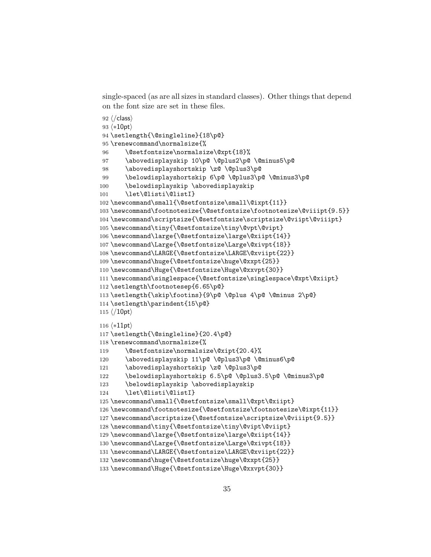single-spaced (as are all sizes in standard classes). Other things that depend on the font size are set in these files.

```
92\langle/class\rangle93 \langle *10pt \rangle94 \setlength{\@singleline}{18\p@}
95 \renewcommand\normalsize{%
96 \@setfontsize\normalsize\@xpt{18}%
97 \abovedisplayskip 10\p@ \@plus2\p@ \@minus5\p@
98 \abovedisplayshortskip \z@ \@plus3\p@
99 \belowdisplayshortskip 6\p@ \@plus3\p@ \@minus3\p@
100 \belowdisplayskip \abovedisplayskip
101 \let\@listi\@listI}
102 \newcommand\small{\@setfontsize\small\@ixpt{11}}
103 \newcommand\footnotesize{\@setfontsize\footnotesize\@viiipt{9.5}}
104 \newcommand\scriptsize{\@setfontsize\scriptsize\@viipt\@viiipt}
105 \newcommand\tiny{\@setfontsize\tiny\@vpt\@vipt}
106 \newcommand\large{\@setfontsize\large\@xiipt{14}}
107 \newcommand\Large{\@setfontsize\Large\@xivpt{18}}
108 \newcommand\LARGE{\@setfontsize\LARGE\@xviipt{22}}
109 \newcommand\huge{\@setfontsize\huge\@xxpt{25}}
110 \newcommand\Huge{\@setfontsize\Huge\@xxvpt{30}}
111 \newcommand\singlespace{\@setfontsize\singlespace\@xpt\@xiipt}
112 \setlength\footnotesep{6.65\p@}
113 \setlength{\skip\footins}{9\p@ \@plus 4\p@ \@minus 2\p@}
114 \setlength\parindent{15\p@}
115 \langle /10pt\rangle116 \langle *11pt \rangle117 \setlength{\@singleline}{20.4\p@}
118 \renewcommand\normalsize{%
119 \@setfontsize\normalsize\@xipt{20.4}%
120 \abovedisplayskip 11\p@ \@plus3\p@ \@minus6\p@
121 \abovedisplayshortskip \z@ \@plus3\p@
122 \belowdisplayshortskip 6.5\p@ \@plus3.5\p@ \@minus3\p@
123 \belowdisplayskip \abovedisplayskip
124 \let\@listi\@listI}
125 \newcommand\small{\@setfontsize\small\@xpt\@xiipt}
126 \newcommand\footnotesize{\@setfontsize\footnotesize\@ixpt{11}}
127 \newcommand\scriptsize{\@setfontsize\scriptsize\@viiipt{9.5}}
128\newcommand\tiny{\@setfontsize\tiny\@vipt\@viipt}
129 \newcommand\large{\@setfontsize\large\@xiipt{14}}
130 \newcommand\Large{\@setfontsize\Large\@xivpt{18}}
131 \newcommand\LARGE{\@setfontsize\LARGE\@xviipt{22}}
132 \newcommand\huge{\@setfontsize\huge\@xxpt{25}}
133 \newcommand\Huge{\@setfontsize\Huge\@xxvpt{30}}
```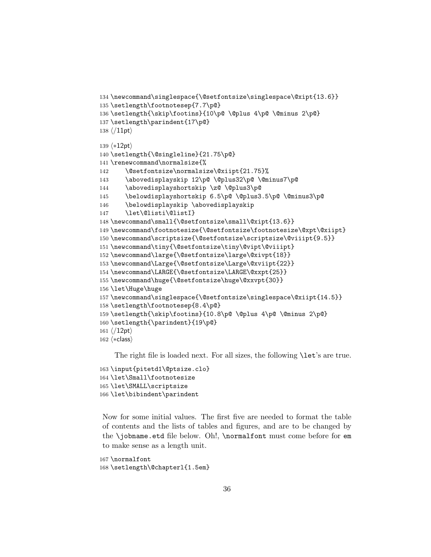```
134 \newcommand\singlespace{\@setfontsize\singlespace\@xipt{13.6}}
135 \setlength\footnotesep{7.7\p@}
136 \setlength{\skip\footins}{10\p@ \@plus 4\p@ \@minus 2\p@}
137 \setlength\parindent{17\p@}
138 \langle /11pt\rangle139 \langle *12pt \rangle140 \setlength{\@singleline}{21.75\p@}
141 \renewcommand\normalsize{%
142 \@setfontsize\normalsize\@xiipt{21.75}%
143 \abovedisplayskip 12\p@ \@plus32\p@ \@minus7\p@
144 \abovedisplayshortskip \z@ \@plus3\p@
145 \belowdisplayshortskip 6.5\p@ \@plus3.5\p@ \@minus3\p@
146 \belowdisplayskip \abovedisplayskip
147 \let\@listi\@listI}
148 \newcommand\small{\@setfontsize\small\@xipt{13.6}}
149 \newcommand\footnotesize{\@setfontsize\footnotesize\@xpt\@xiipt}
150 \newcommand\scriptsize{\@setfontsize\scriptsize\@viiipt{9.5}}
151 \newcommand\tiny{\@setfontsize\tiny\@vipt\@viiipt}
152 \newcommand\large{\@setfontsize\large\@xivpt{18}}
153 \newcommand\Large{\@setfontsize\Large\@xviipt{22}}
154 \newcommand\LARGE{\@setfontsize\LARGE\@xxpt{25}}
155 \newcommand\huge{\@setfontsize\huge\@xxvpt{30}}
156 \let\Huge\huge
157 \newcommand\singlespace{\@setfontsize\singlespace\@xiipt{14.5}}
158 \setlength\footnotesep{8.4\p@}
159 \setlength{\skip\footins}{10.8\p@ \@plus 4\p@ \@minus 2\p@}
160 \setlength{\parindent}{19\p@}
161 \langle /12pt\rangle162 \langle *class \rangle
```
The right file is loaded next. For all sizes, the following  $\let's$  are true.

```
163 \input{pitetd1\@ptsize.clo}
164 \let\Small\footnotesize
165 \let\SMALL\scriptsize
166 \let\bibindent\parindent
```
Now for some initial values. The first five are needed to format the table of contents and the lists of tables and figures, and are to be changed by the \jobname.etd file below. Oh!, \normalfont must come before for em to make sense as a length unit.

```
167 \normalfont
168 \setlength\@chapterl{1.5em}
```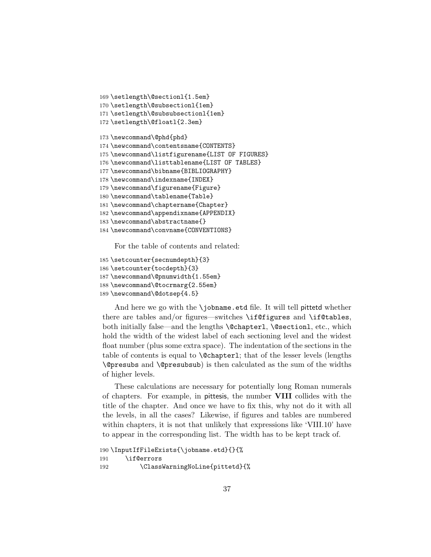```
169 \setlength\@sectionl{1.5em}
170 \setlength\@subsectionl{1em}
171 \setlength\@subsubsectionl{1em}
172 \setlength\@floatl{2.3em}
173 \newcommand\@phd{phd}
174 \newcommand\contentsname{CONTENTS}
175 \newcommand\listfigurename{LIST OF FIGURES}
176 \newcommand\listtablename{LIST OF TABLES}
177 \newcommand\bibname{BIBLIOGRAPHY}
178 \newcommand\indexname{INDEX}
179 \newcommand\figurename{Figure}
180 \newcommand\tablename{Table}
181 \newcommand\chaptername{Chapter}
182 \newcommand\appendixname{APPENDIX}
183 \newcommand\abstractname{}
184 \newcommand\convname{CONVENTIONS}
```
For the table of contents and related:

```
185 \setcounter{secnumdepth}{3}
186 \setcounter{tocdepth}{3}
187 \newcommand\@pnumwidth{1.55em}
188 \newcommand\@tocrmarg{2.55em}
189 \newcommand\@dotsep{4.5}
```
And here we go with the  $\lambda$ jobname.etd file. It will tell pittetd whether there are tables and/or figures—switches \if@figures and \if@tables, both initially false—and the lengths \@chapterl, \@sectionl, etc., which hold the width of the widest label of each sectioning level and the widest float number (plus some extra space). The indentation of the sections in the table of contents is equal to \@chapterl; that of the lesser levels (lengths \@presubs and \@presubsub) is then calculated as the sum of the widths of higher levels.

These calculations are necessary for potentially long Roman numerals of chapters. For example, in pittesis, the number VIII collides with the title of the chapter. And once we have to fix this, why not do it with all the levels, in all the cases? Likewise, if figures and tables are numbered within chapters, it is not that unlikely that expressions like 'VIII.10' have to appear in the corresponding list. The width has to be kept track of.

```
190 \InputIfFileExists{\jobname.etd}{}{%
191 \if@errors
192 \ClassWarningNoLine{pittetd}{%
```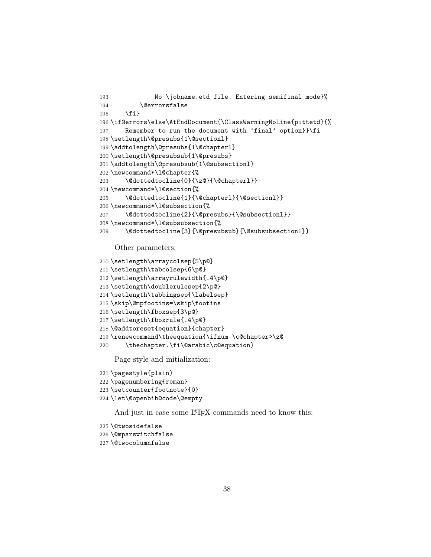```
193 No \jobname.etd file. Entering semifinal mode}%
194 \@errorsfalse
195 \fi}
196 \if@errors\else\AtEndDocument{\ClassWarningNoLine{pittetd}{%
197 Remember to run the document with 'final' option}}\fi
198 \setlength\@presubs{1\@sectionl}
199 \addtolength\@presubs{1\@chapterl}
200 \setlength\@presubsub{1\@presubs}
201 \addtolength\@presubsub{1\@subsectionl}
202 \newcommand*\l@chapter{%
203 \@dottedtocline{0}{\z@}{\@chapterl}}
204 \newcommand*\l@section{%
205 \@dottedtocline{1}{\@chapterl}{\@sectionl}}
206 \newcommand*\l@subsection{%
207 \@dottedtocline{2}{\@presubs}{\@subsectionl}}
208 \newcommand*\l@subsubsection{%
209 \@dottedtocline{3}{\@presubsub}{\@subsubsectionl}}
```
Other parameters:

```
210 \setlength\arraycolsep{5\p@}
211 \setlength\tabcolsep{6\p@}
212 \setlength\arrayrulewidth{.4\p@}
213 \setlength\doublerulesep{2\p@}
214 \setlength\tabbingsep{\labelsep}
215 \skip\@mpfootins=\skip\footins
216 \setlength\fboxsep{3\p@}
217 \setlength\fboxrule{.4\p@}
218 \@addtoreset{equation}{chapter}
219 \renewcommand\theequation{\ifnum \c@chapter>\z@
220 \thechapter.\fi\@arabic\c@equation}
```
Page style and initialization:

```
221 \pagestyle{plain}
222 \pagenumbering{roman}
223 \setcounter{footnote}{0}
224 \let\@openbib@code\@empty
```
And just in case some LAT<sub>EX</sub> commands need to know this:

```
225 \@twosidefalse
226 \@mparswitchfalse
227 \@twocolumnfalse
```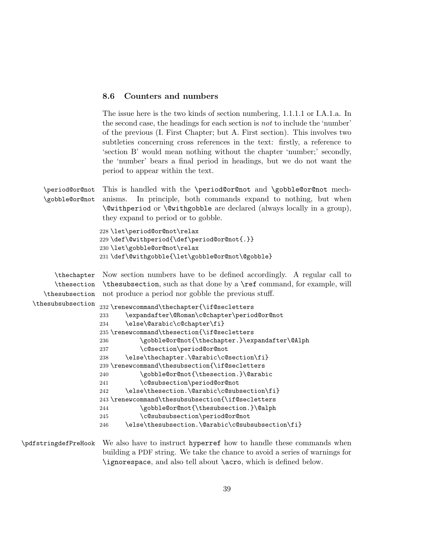### <span id="page-38-0"></span>8.6 Counters and numbers

The issue here is the two kinds of section numbering, 1.1.1.1 or I.A.1.a. In the second case, the headings for each section is not to include the 'number' of the previous (I. First Chapter; but A. First section). This involves two subtleties concerning cross references in the text: firstly, a reference to 'section B' would mean nothing without the chapter 'number;' secondly, the 'number' bears a final period in headings, but we do not want the period to appear within the text.

\period@or@not \gobble@or@not This is handled with the \period@or@not and \gobble@or@not mechanisms. In principle, both commands expand to nothing, but when \@withperiod or \@withgobble are declared (always locally in a group), they expand to period or to gobble.

> \let\period@or@not\relax \def\@withperiod{\def\period@or@not{.}} \let\gobble@or@not\relax \def\@withgobble{\let\gobble@or@not\@gobble}

\thechapter \thesection \thesubsection Now section numbers have to be defined accordingly. A regular call to \thesubsection, such as that done by a \ref command, for example, will not produce a period nor gobble the previous stuff.

### \thesubsubsection 232 \renewcommand\thechapter{\if@secletters 233 \expandafter\@Roman\c@chapter\period@or@not 234 \else\@arabic\c@chapter\fi} 235 \renewcommand\thesection{\if@secletters 236 \gobble@or@not{\thechapter.}\expandafter\@Alph 237 \c@section\period@or@not 238 \else\thechapter.\@arabic\c@section\fi} 239 \renewcommand\thesubsection{\if@secletters 240 \gobble@or@not{\thesection.}\@arabic 241 \c@subsection\period@or@not 242 \else\thesection.\@arabic\c@subsection\fi} 243 \renewcommand\thesubsubsection{\if@secletters 244 \gobble@or@not{\thesubsection.}\@alph 245 \c@subsubsection\period@or@not 246 \else\thesubsection.\@arabic\c@subsubsection\fi}

\pdfstringdefPreHook We also have to instruct hyperref how to handle these commands when building a PDF string. We take the chance to avoid a series of warnings for \ignorespace, and also tell about \acro, which is defined below.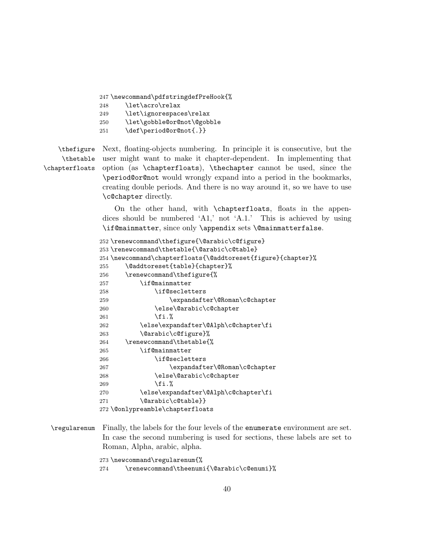247 \newcommand\pdfstringdefPreHook{%

- 248 \let\acro\relax
- 249 \let\ignorespaces\relax
- 250 \let\gobble@or@not\@gobble
- 251 \def\period@or@not{.}}

\thefigure \thetable \chapterfloats Next, floating-objects numbering. In principle it is consecutive, but the user might want to make it chapter-dependent. In implementing that option (as \chapterfloats), \thechapter cannot be used, since the \period@or@not would wrongly expand into a period in the bookmarks, creating double periods. And there is no way around it, so we have to use \c@chapter directly.

> On the other hand, with \chapterfloats, floats in the appendices should be numbered 'A1,' not 'A.1.' This is achieved by using \if@mainmatter, since only \appendix sets \@mainmatterfalse.

```
252 \renewcommand\thefigure{\@arabic\c@figure}
253 \renewcommand\thetable{\@arabic\c@table}
254 \newcommand\chapterfloats{\@addtoreset{figure}{chapter}%
255 \@addtoreset{table}{chapter}%
256 \renewcommand\thefigure{%
257 \if@mainmatter
258 \if@secletters
259 \expandafter\@Roman\c@chapter
260 \else\@arabic\c@chapter
261 \forallfi.%
262 \else\expandafter\@Alph\c@chapter\fi
263 \@arabic\c@figure}%
264 \renewcommand\thetable{%
265 \if@mainmatter
266 \if@secletters
267 \expandafter\@Roman\c@chapter
268 \else\@arabic\c@chapter
269 \forallfi. %
270 \else\expandafter\@Alph\c@chapter\fi
271 \@arabic\c@table}}
272 \@onlypreamble\chapterfloats
```
\regularenum Finally, the labels for the four levels of the enumerate environment are set. In case the second numbering is used for sections, these labels are set to Roman, Alpha, arabic, alpha.

> 273 \newcommand\regularenum{% 274 \renewcommand\theenumi{\@arabic\c@enumi}%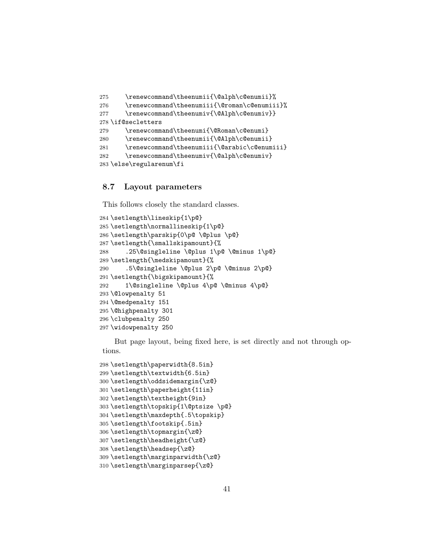```
275 \renewcommand\theenumii{\@alph\c@enumii}%
276 \renewcommand\theenumiii{\@roman\c@enumiii}%
277 \renewcommand\theenumiv{\@Alph\c@enumiv}}
278 \if@secletters
279 \renewcommand\theenumi{\@Roman\c@enumi}
280 \renewcommand\theenumii{\@Alph\c@enumii}
281 \renewcommand\theenumiii{\@arabic\c@enumiii}
282 \renewcommand\theenumiv{\@alph\c@enumiv}
283 \else\regularenum\fi
```
### <span id="page-40-0"></span>8.7 Layout parameters

This follows closely the standard classes.

```
284 \setlength\lineskip{1\p@}
285 \setlength\normallineskip{1\p@}
286 \setlength\parskip{0\p@ \@plus \p@}
287 \setlength{\smallskipamount}{%
288 .25\@singleline \@plus 1\p@ \@minus 1\p@}
289 \setlength{\medskipamount}{%
290 .5\@singleline \@plus 2\p@ \@minus 2\p@}
291 \setlength{\bigskipamount}{%
292 1\@singleline \@plus 4\p@ \@minus 4\p@}
293 \@lowpenalty 51
294 \@medpenalty 151
295 \@highpenalty 301
296 \clubpenalty 250
297 \widowpenalty 250
```
But page layout, being fixed here, is set directly and not through options.

```
298 \setlength\paperwidth{8.5in}
299 \setlength\textwidth{6.5in}
300 \setlength\oddsidemargin{\z@}
301 \setlength\paperheight{11in}
302 \setlength\textheight{9in}
303 \setlength\topskip{1\@ptsize \p@}
304 \setlength\maxdepth{.5\topskip}
305 \setlength\footskip{.5in}
306 \setlength\topmargin{\z@}
307 \setlength\headheight{\z@}
308 \setlength\headsep{\z@}
309 \setlength\marginparwidth{\z@}
310 \setlength\marginparsep{\z@}
```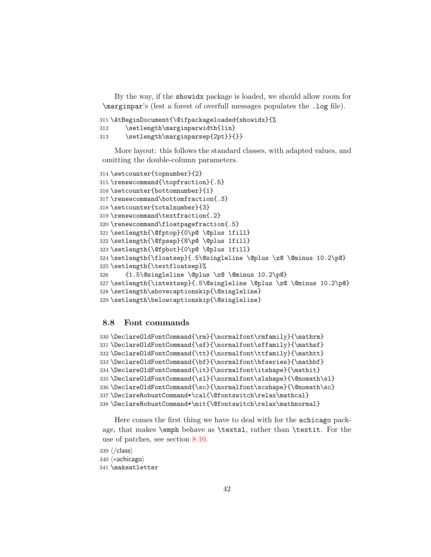By the way, if the showidx package is loaded, we should allow room for \marginpar's (lest a forest of overfull messages populates the .log file).

```
311 \AtBeginDocument{\@ifpackageloaded{showidx}{%
312 \setlength\marginparwidth{1in}
313 \setlength\marginparsep{2pt}}{}}
```
More layout: this follows the standard classes, with adapted values, and omitting the double-column parameters.

```
314 \setcounter{topnumber}{2}
315 \renewcommand{\topfraction}{.5}
316 \setcounter{bottomnumber}{1}
317 \renewcommand\bottomfraction{.3}
318 \setcounter{totalnumber}{3}
319 \renewcommand\textfraction{.2}
320 \renewcommand\floatpagefraction{.5}
321 \setlength{\@fptop}{0\p@ \@plus 1fill}
322 \setlength{\@fpsep}{8\p@ \@plus 1fill}
323 \setlength{\@fpbot}{0\p@ \@plus 1fill}
324 \setlength{\floatsep}{.5\@singleline \@plus \z@ \@minus 10.2\p@}
325 \setlength{\textfloatsep}%
326 {1.5\@singleline \@plus \z@ \@minus 10.2\p@}
327 \setlength{\intextsep}{.5\@singleline \@plus \z@ \@minus 10.2\p@}
328 \setlength\abovecaptionskip{\@singleline}
329 \setlength\belowcaptionskip{\@singleline}
```
### <span id="page-41-0"></span>8.8 Font commands

```
330\DeclareOldFontCommand{\rm}{\normalfont\rmfamily}{\mathrm}
331\DeclareOldFontCommand{\sf}{\normalfont\sffamily}{\mathsf}
332 \DeclareOldFontCommand{\tt}{\normalfont\ttfamily}{\mathtt}
333 \DeclareOldFontCommand{\bf}{\normalfont\bfseries}{\mathbf}
334 \DeclareOldFontCommand{\it}{\normalfont\itshape}{\mathit}
335 \DeclareOldFontCommand{\sl}{\normalfont\slshape}{\@nomath\sl}
336 \DeclareOldFontCommand{\sc}{\normalfont\scshape}{\@nomath\sc}
337 \DeclareRobustCommand*\cal{\@fontswitch\relax\mathcal}
338 \DeclareRobustCommand*\mit{\@fontswitch\relax\mathnormal}
```
Here comes the first thing we have to deal with for the achicago package, that makes \emph behave as \textsl, rather than \textit. For the use of patches, see section [8.10.](#page-43-0)

```
339 \sqrt{class\rangle340 (*achicago)
341 \makeatletter
```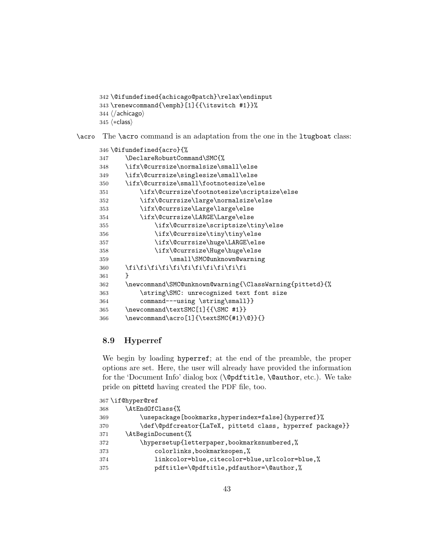```
342 \@ifundefined{achicago@patch}\relax\endinput
343 \renewcommand{\emph}[1]{{\itswitch #1}}%
344 \langle / achicago\rangle345 \langle *class \rangle
```

```
\acro The \acro command is an adaptation from the one in the ltugboat class:
```

```
346 \@ifundefined{acro}{%
347 \DeclareRobustCommand\SMC{%
348 \ifx\@currsize\normalsize\small\else
349 \ifx\@currsize\singlesize\small\else
350 \ifx\@currsize\small\footnotesize\else
351 \ifx\@currsize\footnotesize\scriptsize\else
352 \ifx\@currsize\large\normalsize\else
353 \ifx\@currsize\Large\large\else
354 \ifx\@currsize\LARGE\Large\else
355 \ifx\@currsize\scriptsize\tiny\else
356 \ifx\@currsize\tiny\tiny\else
357 \ifx\@currsize\huge\LARGE\else
358 \ifx\@currsize\Huge\huge\else
359 \small\SMC@unknown@warning
360 \fi\fi\fi\fi\fi\fi\fi\fi\fi\fi\fi\fi
361 }
362 \newcommand\SMC@unknown@warning{\ClassWarning{pittetd}{%
363 \string\SMC: unrecognized text font size
364 command---using \string\small}}
365 \newcommand\textSMC[1]{{\SMC #1}}
366 \newcommand\acro[1]{\textSMC{#1}\@}}{}
```
# <span id="page-42-0"></span>8.9 Hyperref

We begin by loading hyperref; at the end of the preamble, the proper options are set. Here, the user will already have provided the information for the 'Document Info' dialog box (\@pdftitle, \@author, etc.). We take pride on pittetd having created the PDF file, too.

|     | 367 \if@hyper@ref                                         |
|-----|-----------------------------------------------------------|
| 368 | \AtEndOfClass{%                                           |
| 369 | \usepackage[bookmarks,hyperindex=false]{hyperref}%        |
| 370 | \def\@pdfcreator{LaTeX, pittetd class, hyperref package}} |
| 371 | \AtBeginDocument{%                                        |
| 372 | \hypersetup{letterpaper,bookmarksnumbered,%               |
| 373 | colorlinks, bookmarksopen,%                               |
| 374 | linkcolor=blue,citecolor=blue,urlcolor=blue,%             |
| 375 | pdftitle=\@pdftitle,pdfauthor=\@author,%                  |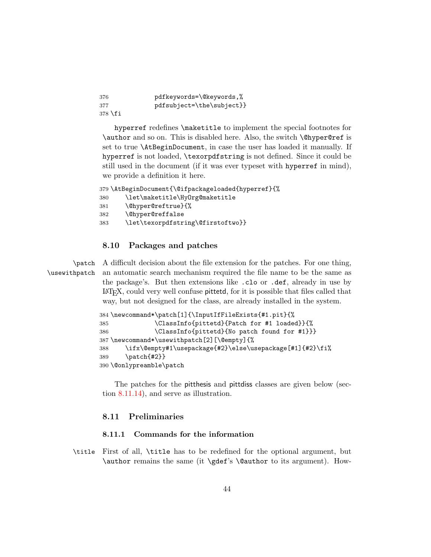| -376    | pdfkeywords=\@keywords,%  |
|---------|---------------------------|
| 377     | pdfsubject=\the\subject}} |
| 378 \fi |                           |

hyperref redefines \maketitle to implement the special footnotes for \author and so on. This is disabled here. Also, the switch \@hyper@ref is set to true \AtBeginDocument, in case the user has loaded it manually. If hyperref is not loaded, \texorpdfstring is not defined. Since it could be still used in the document (if it was ever typeset with hyperref in mind), we provide a definition it here.

```
379 \AtBeginDocument{\@ifpackageloaded{hyperref}{%
380 \let\maketitle\HyOrg@maketitle
381 \@hyper@reftrue}{%
382 \@hyper@reffalse
383 \let\texorpdfstring\@firstoftwo}}
```
### <span id="page-43-0"></span>8.10 Packages and patches

\patch \usewithpatch A difficult decision about the file extension for the patches. For one thing, an automatic search mechanism required the file name to be the same as the package's. But then extensions like .clo or .def, already in use by LATEX, could very well confuse pittetd, for it is possible that files called that way, but not designed for the class, are already installed in the system.

```
384 \newcommand*\patch[1]{\InputIfFileExists{#1.pit}{%
385 \ClassInfo{pittetd}{Patch for #1 loaded}}{%
386 \ClassInfo{pittetd}{No patch found for #1}}}
387 \newcommand*\usewithpatch[2][\@empty]{%
388 \ifx\@empty#1\usepackage{#2}\else\usepackage[#1]{#2}\fi%
389 \patch{#2}}
390 \@onlypreamble\patch
```
The patches for the pitthesis and pittdiss classes are given below (section [8.11.14\)](#page-55-1), and serve as illustration.

# <span id="page-43-1"></span>8.11 Preliminaries

### <span id="page-43-2"></span>8.11.1 Commands for the information

\title First of all, \title has to be redefined for the optional argument, but \author remains the same (it \gdef's \@author to its argument). How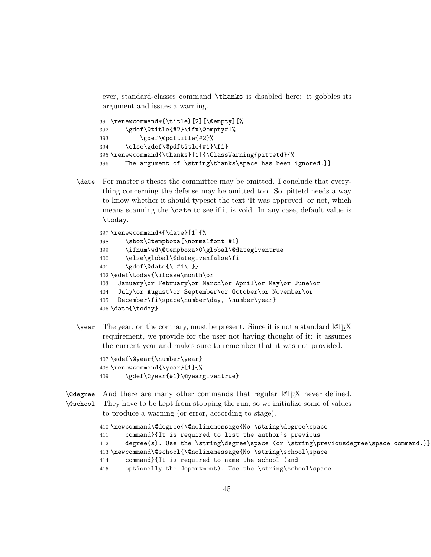ever, standard-classes command \thanks is disabled here: it gobbles its argument and issues a warning.

```
391 \renewcommand*{\title}[2][\@empty]{%
392 \gdef\@title{#2}\ifx\@empty#1%
393 \gdef\@pdftitle{#2}%
394 \else\gdef\@pdftitle{#1}\fi}
395 \renewcommand{\thanks}[1]{\ClassWarning{pittetd}{%
396 The argument of \string\thanks\space has been ignored.}}
```
\date For master's theses the committee may be omitted. I conclude that everything concerning the defense may be omitted too. So, pittetd needs a way to know whether it should typeset the text 'It was approved' or not, which means scanning the \date to see if it is void. In any case, default value is \today.

```
397 \renewcommand*{\date}[1]{%
398 \sbox\@tempboxa{\normalfont #1}
399 \ifnum\wd\@tempboxa>0\global\@dategiventrue
400 \else\global\@dategivenfalse\fi
401 \gdef\@date{\ #1\ }}
402 \edef\today{\ifcase\month\or
403 January\or February\or March\or April\or May\or June\or
404 July\or August\or September\or October\or November\or
405 December\fi\space\number\day, \number\year}
406 \date{\today}
```
 $\gamma$  The year, on the contrary, must be present. Since it is not a standard LATEX requirement, we provide for the user not having thought of it: it assumes the current year and makes sure to remember that it was not provided.

```
407 \edef\@year{\number\year}
408 \renewcommand{\year}[1]{%
409 \gdef\@year{#1}\@yeargiventrue}
```
\@degree And there are many other commands that regular LATEX never defined. \@school They have to be kept from stopping the run, so we initialize some of values to produce a warning (or error, according to stage).

```
410 \newcommand\@degree{\@nolinemessage{No \string\degree\space
411 command}{It is required to list the author's previous
412 degree(s). Use the \string\degree\space (or \string\previousdegree\space command.}}
413 \newcommand\@school{\@nolinemessage{No \string\school\space
414 command}{It is required to name the school (and
415 optionally the department). Use the \string\school\space
```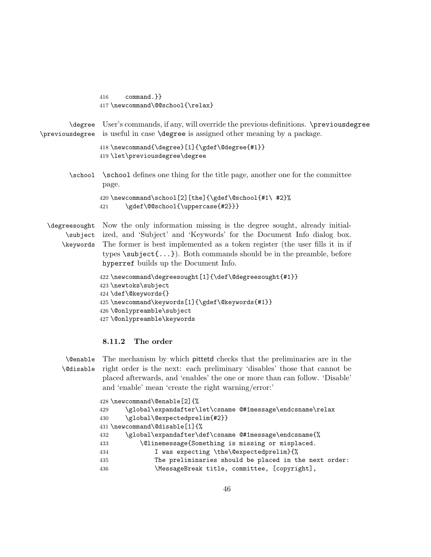416 command.}} 417 \newcommand\@@school{\relax}

\degree User's commands, if any, will override the previous definitions. \previousdegree \previousdegree is useful in case \degree is assigned other meaning by a package.

```
418 \newcommand{\degree}[1]{\gdef\@degree{#1}}
419 \let\previousdegree\degree
```
\school \school defines one thing for the title page, another one for the committee page.

```
420 \newcommand\school[2][the]{\gdef\@school{#1\ #2}%
421 \gdef\@@school{\uppercase{#2}}}
```
\degreesought Now the only information missing is the degree sought, already initial-\subject ized, and 'Subject' and 'Keywords' for the Document Info dialog box. \keywords The former is best implemented as a token register (the user fills it in if types  $\setminus \text{subject} \{... \}$ . Both commands should be in the preamble, before hyperref builds up the Document Info.

```
422 \newcommand\degreesought[1]{\def\@degreesought{#1}}
423 \newtoks\subject
424 \def\@keywords{}
425 \newcommand\keywords[1]{\gdef\@keywords{#1}}
426 \@onlypreamble\subject
427 \@onlypreamble\keywords
```
### <span id="page-45-0"></span>8.11.2 The order

\@enable The mechanism by which pittetd checks that the preliminaries are in the \@disable right order is the next: each preliminary 'disables' those that cannot be placed afterwards, and 'enables' the one or more than can follow. 'Disable' and 'enable' mean 'create the right warning/error:'

|     | 428 \newcommand\@enable [2] {%                            |
|-----|-----------------------------------------------------------|
| 429 | \global\expandafter\let\csname @#1message\endcsname\relax |
| 430 | \global\@expectedprelim{#2}}                              |
|     | 431 \newcommand\@disable[1]{%                             |
| 432 | \global\expandafter\def\csname @#1message\endcsname{%     |
| 433 | \@linemessage{Something is missing or misplaced.          |
| 434 | I was expecting \the\@expectedprelim}{%                   |
| 435 | The preliminaries should be placed in the next order:     |
| 436 | \MessageBreak title, committee, [copyright],              |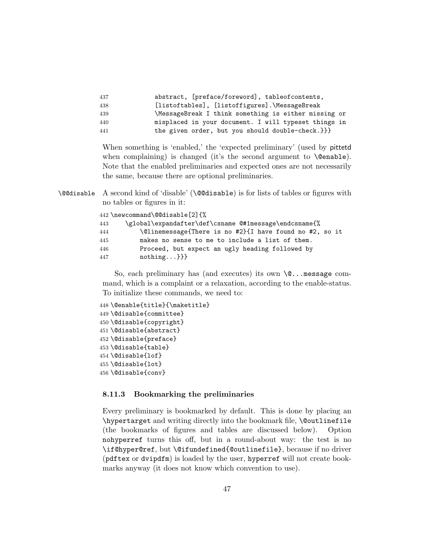| 437 | abstract, [preface/foreword], tableofcontents,       |
|-----|------------------------------------------------------|
| 438 | [listoftables], [listoffigures].\MessageBreak        |
| 439 | \MessageBreak I think something is either missing or |
| 440 | misplaced in your document. I will typeset things in |
| 441 | the given order, but you should double-check.}}}     |

When something is 'enabled,' the 'expected preliminary' (used by pittetd when complaining) is changed (it's the second argument to  $\text{Qenable}$ ). Note that the enabled preliminaries and expected ones are not necessarily the same, because there are optional preliminaries.

\@@disable A second kind of 'disable' (\@@disable) is for lists of tables or figures with no tables or figures in it:

|     | 442 \newcommand\@@disable[2]{%                          |
|-----|---------------------------------------------------------|
| 443 | \global\expandafter\def\csname @#1message\endcsname{%   |
| 444 | \@linemessage{There is no #2}{I have found no #2, so it |
| 445 | makes no sense to me to include a list of them.         |
| 446 | Proceed, but expect an ugly heading followed by         |
| 447 | $nothing$ }}}                                           |

So, each preliminary has (and executes) its own \@...message command, which is a complaint or a relaxation, according to the enable-status. To initialize these commands, we need to:

```
448 \@enable{title}{\maketitle}
449 \@disable{committee}
450 \@disable{copyright}
451 \@disable{abstract}
452 \@disable{preface}
453 \@disable{table}
454 \@disable{lof}
455 \@disable{lot}
456 \@disable{conv}
```
### <span id="page-46-0"></span>8.11.3 Bookmarking the preliminaries

Every preliminary is bookmarked by default. This is done by placing an \hypertarget and writing directly into the bookmark file, \@outlinefile (the bookmarks of figures and tables are discussed below). Option nohyperref turns this off, but in a round-about way: the test is no \if@hyper@ref, but \@ifundefined{@outlinefile}, because if no driver (pdftex or dvipdfm) is loaded by the user, hyperref will not create bookmarks anyway (it does not know which convention to use).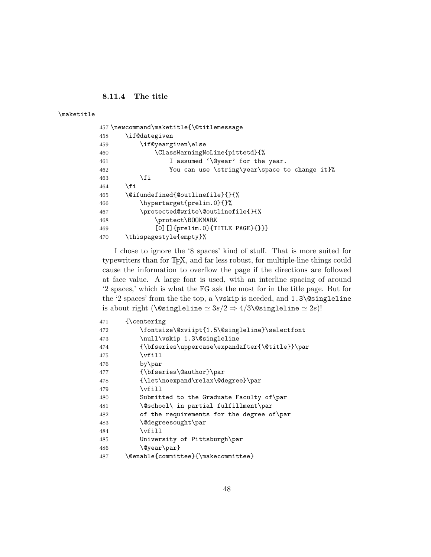<span id="page-47-0"></span>8.11.4 The title

\maketitle

|     | 457 \newcommand\maketitle{\@titlemessage      |
|-----|-----------------------------------------------|
| 458 | \if@dategiven                                 |
| 459 | \if@yeargiven\else                            |
| 460 | \ClassWarningNoLine{pittetd}{%                |
| 461 | I assumed '\@year' for the year.              |
| 462 | You can use \string\year\space to change it}% |
| 463 | \fi                                           |
| 464 | \fi                                           |
| 465 | \@ifundefined{@outlinefile}{}{%               |
| 466 | \hypertarget{prelim.0}{}%                     |
| 467 | \protected@write\@outlinefile{}{%             |
| 468 | \protect\BOOKMARK                             |
| 469 | $[0]$ [] {prelim.0} {TITLE PAGE} {}}}         |
| 470 | \thispagestyle{empty}%                        |
|     |                                               |

I chose to ignore the '8 spaces' kind of stuff. That is more suited for typewriters than for TEX, and far less robust, for multiple-line things could cause the information to overflow the page if the directions are followed at face value. A large font is used, with an interline spacing of around '2 spaces,' which is what the FG ask the most for in the title page. But for the '2 spaces' from the the top, a \vskip is needed, and 1.3\@singleline is about right (\@singleline  $\simeq 3s/2 \Rightarrow 4/3\text{ \textdegree}$  discretes  $\simeq 2s$ )!

| 471 | {\centering                                    |
|-----|------------------------------------------------|
| 472 | \fontsize\@xviipt{1.5\@singleline}\selectfont  |
| 473 | \null\vskip 1.3\@singleline                    |
| 474 | {\bfseries\uppercase\expandafter{\@title}}\par |
| 475 | $\forall$ ill                                  |
| 476 | by\par                                         |
| 477 | {\bfseries\@author}\par                        |
| 478 | {\let\noexpand\relax\@degree}\par              |
| 479 | \vfill                                         |
| 480 | Submitted to the Graduate Faculty of \par      |
| 481 | \@school\ in partial fulfillment\par           |
| 482 | of the requirements for the degree of \par     |
| 483 | \@degreesought\par                             |
| 484 | \vfill                                         |
| 485 | University of Pittsburgh\par                   |
| 486 | \@year\par}                                    |
| 487 | \@enable{committee}{\makecommittee}            |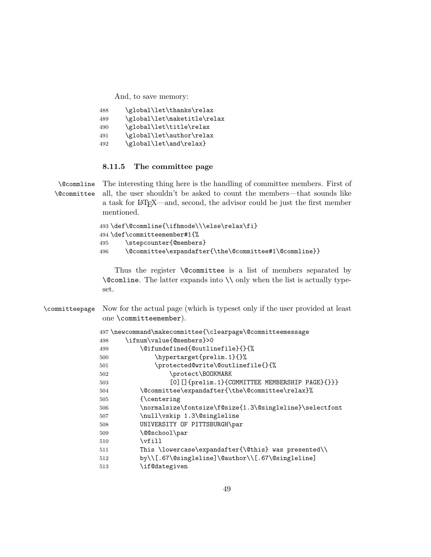And, to save memory:

| \global\let\thanks\relax    |
|-----------------------------|
| \global\let\maketitle\relax |
| \global\let\title\relax     |
| \global\let\author\relax    |
| \global\let\and\relax}      |
|                             |

### <span id="page-48-0"></span>8.11.5 The committee page

\@commline \@committee The interesting thing here is the handling of committee members. First of all, the user shouldn't be asked to count the members—that sounds like a task for LATEX—and, second, the advisor could be just the first member mentioned.

```
493 \def\@commline{\ifhmode\\\else\relax\fi}
494 \def\committeemember#1{%
495 \stepcounter{@members}
496 \@committee\expandafter{\the\@committee#1\@commline}}
```
Thus the register **\@committee** is a list of members separated by \@comline. The latter expands into \\ only when the list is actually typeset.

| \committeepage Now for the actual page (which is typeset only if the user provided at least |
|---------------------------------------------------------------------------------------------|
| one $\mathrm{committememer}).$                                                              |

|     | 497\newcommand\makecommittee{\clearpage\@committeemessage |
|-----|-----------------------------------------------------------|
| 498 | \ifnum\value{@members}>0                                  |
| 499 | \@ifundefined{@outlinefile}{}{%                           |
| 500 | \hypertarget{prelim.1}{}%                                 |
| 501 | \protected@write\@outlinefile{}{%                         |
| 502 | \protect\BOOKMARK                                         |
| 503 | [0] [] {prelim.1} {COMMITTEE MEMBERSHIP PAGE} {}}}        |
| 504 | \@committee\expandafter{\the\@committee\relax}%           |
| 505 | {\centering                                               |
| 506 | \normalsize\fontsize\f@size{1.3\@singleline}\selectfont   |
| 507 | \null\vskip 1.3\@singleline                               |
| 508 | UNIVERSITY OF PITTSBURGH\par                              |
| 509 | \@@school\par                                             |
| 510 | \vfill                                                    |
| 511 | This \lowercase\expandafter{\@this} was presented\\       |
| 512 | by\\[.67\@singleline]\@author\\[.67\@singleline]          |
| 513 | \if@dategiven                                             |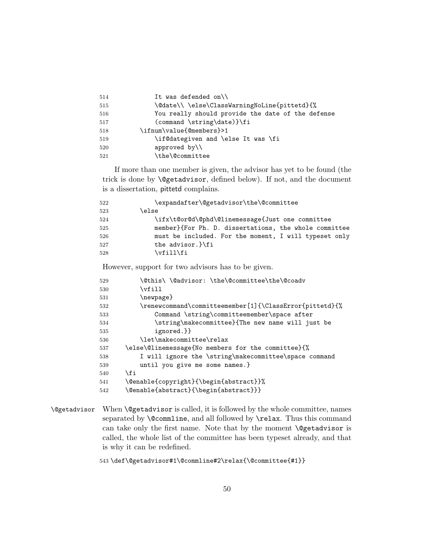| 514 | It was defended on $\setminus$                    |
|-----|---------------------------------------------------|
| 515 | \@date\\\clse\ClassWarningNoLine{pittetd}{%       |
| 516 | You really should provide the date of the defense |
| 517 | (command \string\date)}\fi                        |
| 518 | \ifnum\value{@members}>1                          |
| 519 | \if@dategiven and \else It was \fi                |
| 520 | approved by $\setminus$                           |
| 521 | \the\@committee                                   |
|     |                                                   |

If more than one member is given, the advisor has yet to be found (the trick is done by \@getadvisor, defined below). If not, and the document is a dissertation, pittetd complains.

| 522 | \expandafter\@getadvisor\the\@committee               |
|-----|-------------------------------------------------------|
| 523 | \else                                                 |
| 524 | \ifx\t@or@d\@phd\@linemessage{Just one committee      |
| 525 | member}{For Ph. D. dissertations, the whole committee |
| 526 | must be included. For the moment, I will typeset only |
| 527 | the advisor. Nfi                                      |
| 528 | \vfill\fi                                             |

However, support for two advisors has to be given.

| 529 | \@this\\@advisor:\the\@committee\the\@coadv                            |
|-----|------------------------------------------------------------------------|
| 530 | \vfill                                                                 |
| 531 | \newpage}                                                              |
| 532 | $\verb \renewcommand\command\committer[1]{\ClassError\rm{pitted}}{\%}$ |
| 533 | Command \string\committeemember\space after                            |
| 534 | \string\makecommittee}{The new name will just be                       |
| 535 | ignored.}}                                                             |
| 536 | \let\makecommittee\relax                                               |
| 537 | \else\@linemessage{No members for the committee}{%                     |
| 538 | I will ignore the \string\makecommittee\space command                  |
| 539 | until you give me some names.}                                         |
| 540 | \fi                                                                    |
| 541 | \@enable{copyright}{\begin{abstract}}%                                 |
| 542 | \@enable{abstract}{\begin{abstract}}}                                  |
|     |                                                                        |

\@getadvisor When \@getadvisor is called, it is followed by the whole committee, names separated by **\@commline**, and all followed by **\relax**. Thus this command can take only the first name. Note that by the moment **\@getadvisor** is called, the whole list of the committee has been typeset already, and that is why it can be redefined.

\def\@getadvisor#1\@commline#2\relax{\@committee{#1}}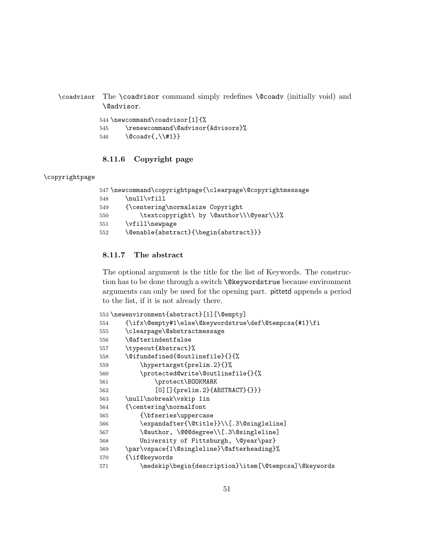\coadvisor The \coadvisor command simply redefines \@coadv (initially void) and \@advisor.

> \newcommand\coadvisor[1]{% \renewcommand\@advisor{Advisors}% \@coadv{,\\#1}}

## <span id="page-50-0"></span>8.11.6 Copyright page

### \copyrightpage

```
547 \newcommand\copyrightpage{\clearpage\@copyrightmessage
548 \null\vfill
549 {\centering\normalsize Copyright
550 \textcopyright\ by \@author\\\@year\\}%
551 \vfill\newpage
552 \@enable{abstract}{\begin{abstract}}}
```
# <span id="page-50-1"></span>8.11.7 The abstract

The optional argument is the title for the list of Keywords. The construction has to be done through a switch \@keywordstrue because environment arguments can only be used for the opening part. pittetd appends a period to the list, if it is not already there.

|     | 553 \newenvironment{abstract}[1][\@empty]             |
|-----|-------------------------------------------------------|
| 554 | {\ifx\@empty#1\else\@keywordstrue\def\@tempcsa{#1}\fi |
| 555 | \clearpage\@abstractmessage                           |
| 556 | <i><b>\@afterindentfalse</b></i>                      |
| 557 | \typeout{Abstract}%                                   |
| 558 | \@ifundefined{@outlinefile}{}{%                       |
| 559 | \hypertarget{prelim.2}{}%                             |
| 560 | \protected@write\@outlinefile{}{%                     |
| 561 | \protect\BOOKMARK                                     |
| 562 | [0] $[]{prelim.2}{ABSTRACT}{})$                       |
| 563 | \null\nobreak\vskip 1in                               |
| 564 | {\centering\normalfont                                |
| 565 | {\bfseries\uppercase                                  |
| 566 | \expandafter{\@title}}\\[.3\@singleline]              |
| 567 | \@author, \@@@degree\\[.3\@singleline]                |
| 568 | University of Pittsburgh, \@year\par}                 |
| 569 | \par\vspace{1\@singleline}\@afterheading}%            |
| 570 | {\if@keywords                                         |
| 571 | \medskip\begin{description}\item[\@tempcsa]\@keywords |
|     |                                                       |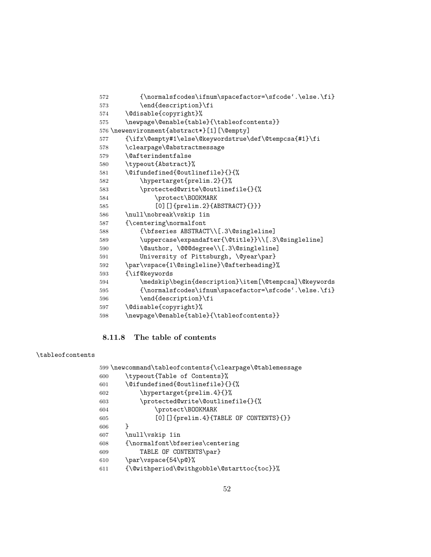```
572 {\normalsfcodes\ifnum\spacefactor=\sfcode'.\else.\fi}
573 \end{description}\fi
574 \@disable{copyright}%
575 \newpage\@enable{table}{\tableofcontents}}
576 \newenvironment{abstract*}[1][\@empty]
577 {\ifx\@empty#1\else\@keywordstrue\def\@tempcsa{#1}\fi
578 \clearpage\@abstractmessage
579 \@afterindentfalse
580 \typeout{Abstract}%
581 \@ifundefined{@outlinefile}{}{%
582 \hypertarget{prelim.2}{}%
583 \protected@write\@outlinefile{}{%
584 \protect\BOOKMARK
585 [0] [] {prelim.2} {ABSTRACT} {}}}
586 \null\nobreak\vskip 1in
587 {\centering\normalfont
588 {\bfseries ABSTRACT\\[.3\@singleline]
589 \uppercase\expandafter{\@title}}\\[.3\@singleline]
590 \@author, \@@@degree\\[.3\@singleline]
591 University of Pittsburgh, \@year\par}
592 \par\vspace{1\@singleline}\@afterheading}%
593 {\if@keywords
594 \medskip\begin{description}\item[\@tempcsa]\@keywords
595 {\normalsfcodes\ifnum\spacefactor=\sfcode'.\else.\fi}
596 \end{description}\fi
597 \@disable{copyright}%
598 \newpage\@enable{table}{\tableofcontents}}
```
## <span id="page-51-0"></span>8.11.8 The table of contents

### \tableofcontents

|     | 599 \newcommand\tableofcontents{\clearpage\@tablemessage |
|-----|----------------------------------------------------------|
| 600 | \typeout{Table of Contents}%                             |
| 601 | \@ifundefined{@outlinefile}{}{%                          |
| 602 | \hypertarget{prelim.4}{}%                                |
| 603 | \protected@write\@outlinefile{}{%                        |
| 604 | \protect\BOOKMARK                                        |
| 605 | [0] [] {prelim.4} {TABLE OF CONTENTS} {}}                |
| 606 | ł                                                        |
| 607 | \null\vskip 1in                                          |
| 608 | {\normalfont\bfseries\centering                          |
| 609 | TABLE OF CONTENTS\par}                                   |
| 610 | \par\vspace{54\p@}%                                      |
| 611 | {\@withperiod\@withgobble\@starttoc{toc}}%               |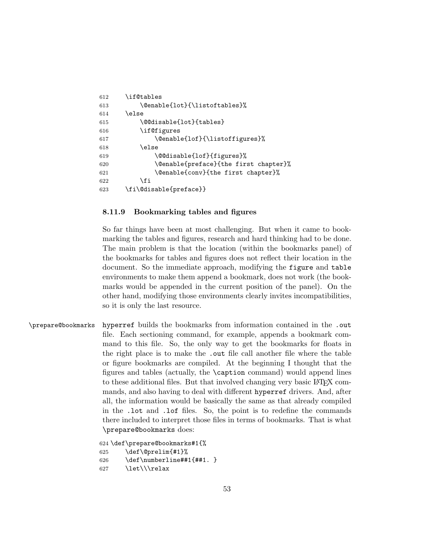```
612 \if@tables
613 \@enable{lot}{\listoftables}%
614 \else
615 \@@disable{lot}{tables}
616 \if@figures
617 \@enable{lof}{\listoffigures}%
618 \else
619 \@@disable{lof}{figures}%
620 \@enable{preface}{the first chapter}%
621 \@enable{conv}{the first chapter}%
622 \quad \text{If}623 \fi\@disable{preface}}
```
### <span id="page-52-0"></span>8.11.9 Bookmarking tables and figures

So far things have been at most challenging. But when it came to bookmarking the tables and figures, research and hard thinking had to be done. The main problem is that the location (within the bookmarks panel) of the bookmarks for tables and figures does not reflect their location in the document. So the immediate approach, modifying the figure and table environments to make them append a bookmark, does not work (the bookmarks would be appended in the current position of the panel). On the other hand, modifying those environments clearly invites incompatibilities, so it is only the last resource.

\prepare@bookmarks hyperref builds the bookmarks from information contained in the .out file. Each sectioning command, for example, appends a bookmark command to this file. So, the only way to get the bookmarks for floats in the right place is to make the .out file call another file where the table or figure bookmarks are compiled. At the beginning I thought that the figures and tables (actually, the \caption command) would append lines to these additional files. But that involved changing very basic LAT<sub>EX</sub> commands, and also having to deal with different hyperref drivers. And, after all, the information would be basically the same as that already compiled in the .lot and .lof files. So, the point is to redefine the commands there included to interpret those files in terms of bookmarks. That is what \prepare@bookmarks does:

```
624 \def\prepare@bookmarks#1{%
```

```
625 \def\@prelim{#1}%
```

```
626 \def\numberline##1{##1. }
```
627 \let\\\relax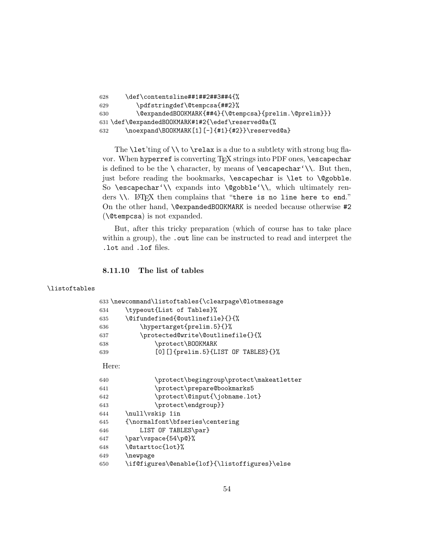```
628 \def\contentsline##1##2##3##4{%
629 \pdfstringdef\@tempcsa{##2}%
630 \@expandedBOOKMARK{##4}{\@tempcsa}{prelim.\@prelim}}}
631 \def\@expandedBOOKMARK#1#2{\edef\reserved@a{%
632 \noexpand\BOOKMARK[1][-]{#1}{#2}}\reserved@a}
```
The  $\let'ting of \\\ to \relax$  is a due to a subtlety with strong bug flavor. When hyperref is converting T<sub>E</sub>X strings into PDF ones, \escapechar is defined to be the  $\setminus$  character, by means of  $\text{escapechar'}\$ . But then, just before reading the bookmarks, \escapechar is \let to \@gobble. So \escapechar'\\ expands into \@gobble'\\, which ultimately renders \\. LATEX then complains that "there is no line here to end." On the other hand, \@expandedBOOKMARK is needed because otherwise #2 (\@tempcsa) is not expanded.

But, after this tricky preparation (which of course has to take place within a group), the out line can be instructed to read and interpret the .lot and .lof files.

# <span id="page-53-0"></span>8.11.10 The list of tables

### \listoftables

|     | 633\newcommand\listoftables{\clearpage\@lotmessage |
|-----|----------------------------------------------------|
| 634 | \typeout{List of Tables}%                          |
| 635 | \@ifundefined{@outlinefile}{}{%                    |
| 636 | \hypertarget{prelim.5}{}%                          |
| 637 | \protected@write\@outlinefile{}{%                  |
| 638 | \protect\BOOKMARK                                  |
| 639 | [0] [] {prelim.5} {LIST OF TABLES} {}%             |

### Here:

| 640 | \protect\begingroup\protect\makeatletter      |
|-----|-----------------------------------------------|
| 641 | \protect\prepare@bookmarks5                   |
| 642 | \protect\@input{\jobname.lot}                 |
| 643 | \protect\endgroup}}                           |
| 644 | \null\vskip 1in                               |
| 645 | {\normalfont\bfseries\centering               |
| 646 | LIST OF TABLES\par}                           |
| 647 | \par\vspace{54\p@}%                           |
| 648 | \@starttoc{lot}%                              |
| 649 | \newpage                                      |
| 650 | \if@figures\@enable{lof}{\listoffigures}\else |
|     |                                               |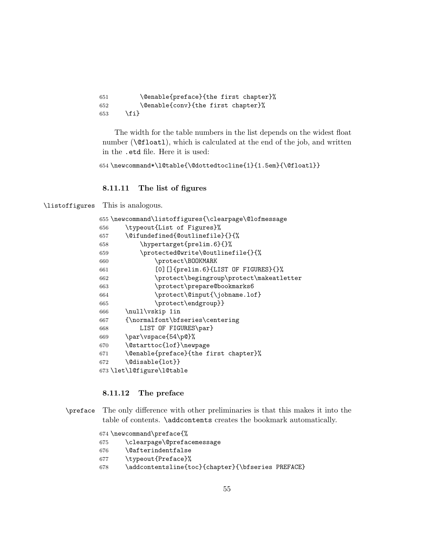\@enable{preface}{the first chapter}% \@enable{conv}{the first chapter}% \fi}

The width for the table numbers in the list depends on the widest float number  $(\text{Cifload1})$ , which is calculated at the end of the job, and written in the .etd file. Here it is used:

```
654 \newcommand*\l@table{\@dottedtocline{1}{1.5em}{\@floatl}}
```
<span id="page-54-0"></span>8.11.11 The list of figures

\listoffigures This is analogous.

| 655\newcommand\listoffigures{\clearpage\@lofmessage |
|-----------------------------------------------------|
| \typeout{List of Figures}%<br>656                   |
| \@ifundefined{@outlinefile}{}{%<br>657              |
| \hypertarget{prelim.6}{}%<br>658                    |
| \protected@write\@outlinefile{}{%<br>659            |
| \protect\BOOKMARK<br>660                            |
| [0] [] {prelim.6} {LIST OF FIGURES} {}%<br>661      |
| \protect\begingroup\protect\makeatletter<br>662     |
| \protect\prepare@bookmarks6<br>663                  |
| \protect\@input{\jobname.lof}<br>664                |
| \protect\endgroup}}<br>665                          |
| \null\vskip 1in<br>666                              |
| {\normalfont\bfseries\centering<br>667              |
| LIST OF FIGURES\par}<br>668                         |
| \par\vspace{54\p@}%<br>669                          |
| \@starttoc{lof}\newpage<br>670                      |
| \@enable{preface}{the first chapter}%<br>671        |
| \@disable{lot}}<br>672                              |
| 673 \let\l@figure\l@table                           |

### <span id="page-54-1"></span>8.11.12 The preface

- \preface The only difference with other preliminaries is that this makes it into the table of contents. \addcontents creates the bookmark automatically.
	- \newcommand\preface{%
	- \clearpage\@prefacemessage
	- \@afterindentfalse
	- \typeout{Preface}%
	- \addcontentsline{toc}{chapter}{\bfseries PREFACE}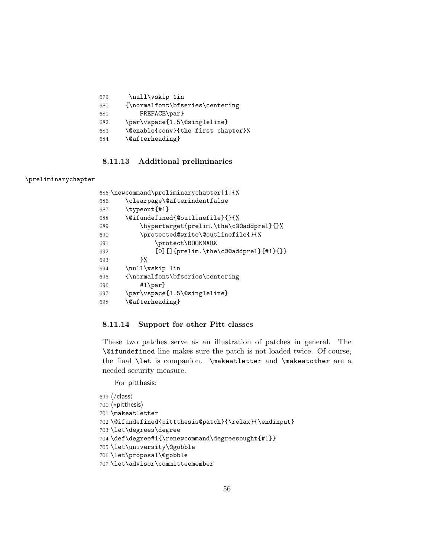```
679 \null\vskip 1in
680 {\normalfont\bfseries\centering
681 PREFACE\par}
682 \par\vspace{1.5\@singleline}
683 \@enable{conv}{the first chapter}%
684 \@afterheading}
```
### <span id="page-55-0"></span>8.11.13 Additional preliminaries

### \preliminarychapter

```
685 \newcommand\preliminarychapter[1]{%
686 \clearpage\@afterindentfalse
687 \typeout{#1}
688 \@ifundefined{@outlinefile}{}{%
689 \hypertarget{prelim.\the\c@@addprel}{}%
690 \protected@write\@outlinefile{}{%
691 \protect\BOOKMARK
692 [0] [] {prelim.\the\c@@addprel}{#1}{}}
693 }%
694 \null\vskip 1in
695 {\normalfont\bfseries\centering
696 #1\par}
697 \par\vspace{1.5\@singleline}
698 \@afterheading}
```
### <span id="page-55-1"></span>8.11.14 Support for other Pitt classes

These two patches serve as an illustration of patches in general. The \@ifundefined line makes sure the patch is not loaded twice. Of course, the final \let is companion. \makeatletter and \makeatother are a needed security measure.

For pitthesis:

```
699 \langle/class\rangle700 \langle * \text{pitthesis} \rangle701 \makeatletter
702 \@ifundefined{pittthesis@patch}{\relax}{\endinput}
703 \let\degrees\degree
704 \def\degree#1{\renewcommand\degreesought{#1}}
705 \let\university\@gobble
706 \let\proposal\@gobble
707 \let\advisor\committeemember
```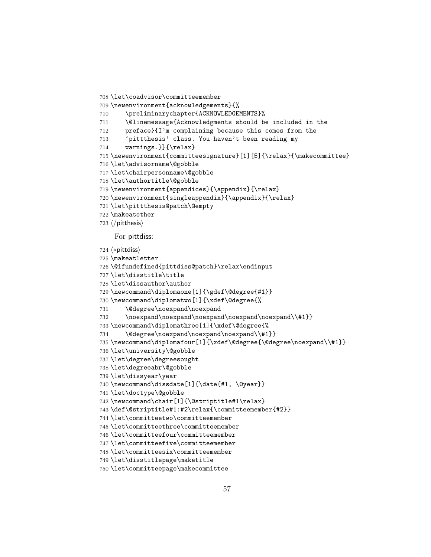```
708 \let\coadvisor\committeemember
709 \newenvironment{acknowledgements}{%
710 \preliminarychapter{ACKNOWLEDGEMENTS}%
711 \@linemessage{Acknowledgments should be included in the
712 preface}{I'm complaining because this comes from the
713 'pittthesis' class. You haven't been reading my
714 warnings.}}{\relax}
715 \newenvironment{committeesignature}[1][5]{\relax}{\makecommittee}
716 \let\advisorname\@gobble
717 \let\chairpersonname\@gobble
718 \let\authortitle\@gobble
719 \newenvironment{appendices}{\appendix}{\relax}
720 \newenvironment{singleappendix}{\appendix}{\relax}
721 \let\pittthesis@patch\@empty
722 \makeatother
723 \langle/pitthesis\rangleFor pittdiss:
724 (*pittdiss)
725 \makeatletter
726 \@ifundefined{pittdiss@patch}\relax\endinput
727 \let\disstitle\title
728 \let\dissauthor\author
729 \newcommand\diplomaone[1]{\gdef\@degree{#1}}
730 \newcommand\diplomatwo[1]{\xdef\@degree{%
731 \@degree\noexpand\noexpand
732 \noexpand\noexpand\noexpand\noexpand\noexpand\\#1}}
733 \newcommand\diplomathree[1]{\xdef\@degree{%
734 \@degree\noexpand\noexpand\noexpand\\#1}}
735 \newcommand\diplomafour[1]{\xdef\@degree{\@degree\noexpand\\#1}}
736 \let\university\@gobble
737 \let\degree\degreesought
738 \let\degreeabr\@gobble
739 \let\dissyear\year
740 \newcommand\dissdate[1]{\date{#1, \@year}}
741 \let\doctype\@gobble
742 \newcommand\chair[1]{\@striptitle#1\relax}
743 \def\@striptitle#1:#2\relax{\committeemember{#2}}
744 \let\committeetwo\committeemember
745 \let\committeethree\committeemember
746 \let\committeefour\committeemember
747 \let\committeefive\committeemember
748 \let\committeesix\committeemember
749 \let\disstitlepage\maketitle
750 \let\committeepage\makecommittee
```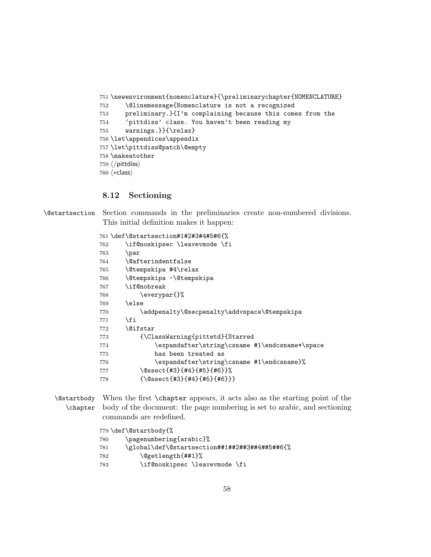```
751 \newenvironment{nomenclature}{\preliminarychapter{NOMENCLATURE}
752 \@linemessage{Nomenclature is not a recognized
753 preliminary.}{I'm complaining because this comes from the
754 'pittdiss' class. You haven't been reading my
755 warnings.}}{\relax}
756 \let\appendices\appendix
757 \let\pittdiss@patch\@empty
758 \makeatother
759 \langle/pittdiss\rangle760 \langle *class \rangle
```
### <span id="page-57-0"></span>8.12 Sectioning

\@startsection Section commands in the preliminaries create non-numbered divisions. This initial definition makes it happen:

```
761 \def\@startsection#1#2#3#4#5#6{%
762 \if@noskipsec \leavevmode \fi
763 \par
764 \@afterindentfalse
765 \@tempskipa #4\relax
766 \@tempskipa -\@tempskipa
767 \if@nobreak
768 \everypar{}%
769 \else
770 \addpenalty\@secpenalty\addvspace\@tempskipa
771 \fi
772 \@ifstar
773 {\ClassWarning{pittetd}{Starred
774 \expandafter\string\csname #1\endcsname*\space
775 has been treated as
776 \expandafter\string\csname #1\endcsname}%
777 \@ssect{#3}{#4}{#5}{#6}}%
778 {\@ssect{#3}{#4}{#5}{#6}}}
```
### \@startbody When the first \chapter appears, it acts also as the starting point of the \chapter body of the document: the page numbering is set to arabic, and sectioning commands are redefined.

```
779 \def\@startbody{%
780 \pagenumbering{arabic}%
781 \global\def\@startsection##1##2##3##4##5##6{%
782 \@getlength{##1}%
783 \if@noskipsec \leavevmode \fi
```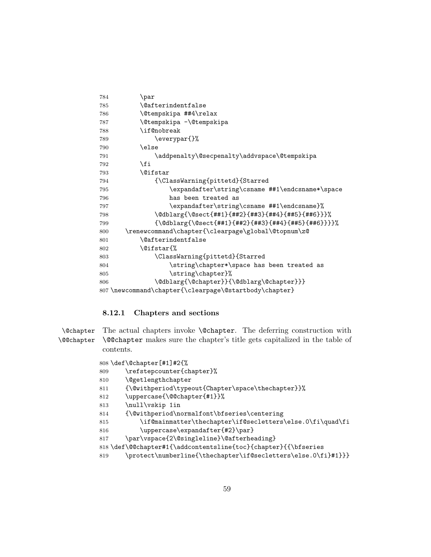| 784 | \par                                                              |
|-----|-------------------------------------------------------------------|
| 785 | <i><b>\@afterindentfalse</b></i>                                  |
| 786 | \@tempskipa ##4\relax                                             |
| 787 | \@tempskipa -\@tempskipa                                          |
| 788 | \if@nobreak                                                       |
| 789 | \everypar{}%                                                      |
| 790 | \else                                                             |
| 791 | \addpenalty\@secpenalty\addvspace\@tempskipa                      |
| 792 | \fi                                                               |
| 793 | <b>\@ifstar</b>                                                   |
| 794 | {\ClassWarning{pittetd}{Starred                                   |
| 795 | \expandafter\string\csname ##1\endcsname*\space                   |
| 796 | has been treated as                                               |
| 797 | \expandafter\string\csname ##1\endcsname}%                        |
| 798 | \@dblarg{\@sect{##1}{##2}{##3}{##4}{##5}{##6}}}%                  |
| 799 | $\{\Q{dblarge\{\texttt{4#1}}_{\#2}\}_{\#4}$ 3}{##4}{##5}{##6}}}}% |
| 800 | \renewcommand\chapter{\clearpage\global\@topnum\z@                |
| 801 | <i><b>\@afterindentfalse</b></i>                                  |
| 802 | \@ifstar{%                                                        |
| 803 | \ClassWarning{pittetd}{Starred                                    |
| 804 | \string\chapter*\space has been treated as                        |
| 805 | \string\chapter}%                                                 |
| 806 | \@dblarg{\@chapter}}{\@dblarg\@chapter}}}                         |
|     | 807 \newcommand\chapter{\clearpage\@startbody\chapter}            |

# <span id="page-58-0"></span>8.12.1 Chapters and sections

\@chapter The actual chapters invoke \@chapter. The deferring construction with \@@chapter \@@chapter makes sure the chapter's title gets capitalized in the table of contents.

|     | 808 \def\@chapter[#1]#2{%                                      |
|-----|----------------------------------------------------------------|
| 809 | \refstepcounter{chapter}%                                      |
| 810 | <b>\@getlengthchapter</b>                                      |
| 811 | {\@withperiod\typeout{Chapter\space\thechapter}}%              |
| 812 | \uppercase{\@@chapter{#1}}%                                    |
| 813 | \null\vskip 1in                                                |
| 814 | {\@withperiod\normalfont\bfseries\centering                    |
| 815 | \if@mainmatter\thechapter\if@secletters\else.0\fi\quad\fi      |
| 816 | \uppercase\expandafter{#2}\par}                                |
| 817 | \par\vspace{2\@singleline}\@afterheading}                      |
|     | 818 \def\@@chapter#1{\addcontentsline{toc}{chapter}{{\bfseries |
| 819 | \protect\numberline{\thechapter\if@secletters\else.0\fi}#1}}}  |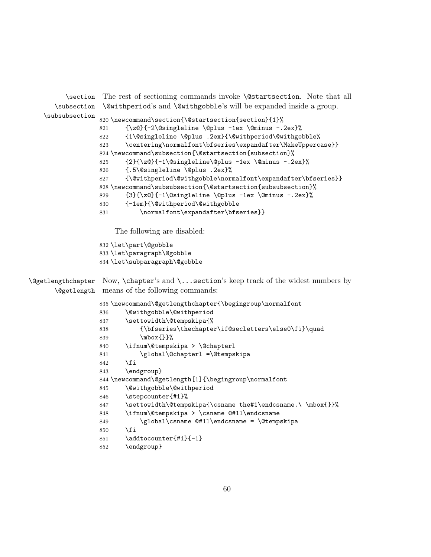\section The rest of sectioning commands invoke \@startsection. Note that all \subsection \@withperiod's and \@withgobble's will be expanded inside a group. \subsubsection \newcommand\section{\@startsection{section}{1}% {\z@}{-2\@singleline \@plus -1ex \@minus -.2ex}% {1\@singleline \@plus .2ex}{\@withperiod\@withgobble% \centering\normalfont\bfseries\expandafter\MakeUppercase}} \newcommand\subsection{\@startsection{subsection}% {2}{\z@}{-1\@singleline\@plus -1ex \@minus -.2ex}% {.5\@singleline \@plus .2ex}% 827 {\@withperiod\@withgobble\normalfont\expandafter\bfseries}} 828\newcommand\subsubsection{\@startsection{subsubsection}% {3}{\z@}{-1\@singleline \@plus -1ex \@minus -.2ex}% {-1em}{\@withperiod\@withgobble 831 \normalfont\expandafter\bfseries}} The following are disabled: \let\part\@gobble \let\paragraph\@gobble \let\subparagraph\@gobble \@getlengthchapter Now, \chapter's and \...section's keep track of the widest numbers by \@getlength means of the following commands: \newcommand\@getlengthchapter{\begingroup\normalfont \@withgobble\@withperiod 837 \settowidth\@tempskipa{% 838 {\bfseries\thechapter\if@secletters\else0\fi}\quad \mbox{}}% \ifnum\@tempskipa > \@chapterl \global\@chapterl =\@tempskipa \fi \endgroup} \newcommand\@getlength[1]{\begingroup\normalfont \@withgobble\@withperiod \stepcounter{#1}% 847 \settowidth\@tempskipa{\csname the#1\endcsname.\\mbox{}}% \ifnum\@tempskipa > \csname @#1l\endcsname 849 \global\csname @#11\endcsname = \@tempskipa \fi \addtocounter{#1}{-1} \endgroup}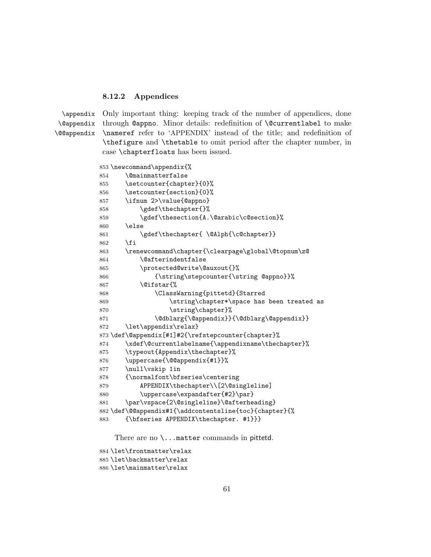### <span id="page-60-0"></span>8.12.2 Appendices

\appendix \@appendix \@@appendix

Only important thing: keeping track of the number of appendices, done through @appno. Minor details: redefinition of \@currentlabel to make \nameref refer to 'APPENDIX' instead of the title; and redefinition of \thefigure and \thetable to omit period after the chapter number, in case \chapterfloats has been issued.

```
853 \newcommand\appendix{%
854 \@mainmatterfalse
855 \setcounter{chapter}{0}%
856 \setcounter{section}{0}%
857 \ifnum 2>\value{@appno}
858 \gdef\thechapter{}%
859 \gdef\thesection{A.\@arabic\c@section}%
860 \else
861 \gdef\thechapter{ \@Alph{\c@chapter}}
862 \fi
863 \renewcommand\chapter{\clearpage\global\@topnum\z@
864 \@afterindentfalse
865 \protected@write\@auxout{}%
866 {\string\stepcounter{\string @appno}}%
867 \@ifstar{%
868 \ClassWarning{pittetd}{Starred
869 \string\chapter*\space has been treated as
870 \string\chapter}%
871 \@dblarg{\@appendix}}{\@dblarg\@appendix}}
872 \let\appendix\relax}
873 \def\@appendix[#1]#2{\refstepcounter{chapter}%
874 \xdef\@currentlabelname{\appendixname\thechapter}%
875 \typeout{Appendix\thechapter}%
876 \uppercase{\@@appendix{#1}}%
877 \null\vskip 1in
878 {\normalfont\bfseries\centering
879 APPENDIX\thechapter\\[2\@singleline]
880 \uppercase\expandafter{#2}\par}
881 \par\vspace{2\@singleline}\@afterheading}
882 \def\@@appendix#1{\addcontentsline{toc}{chapter}{%
883 {\bfseries APPENDIX\thechapter. #1}}}
```
There are no  $\ldots$  matter commands in pittetd.

```
884 \let\frontmatter\relax
885 \let\backmatter\relax
886 \let\mainmatter\relax
```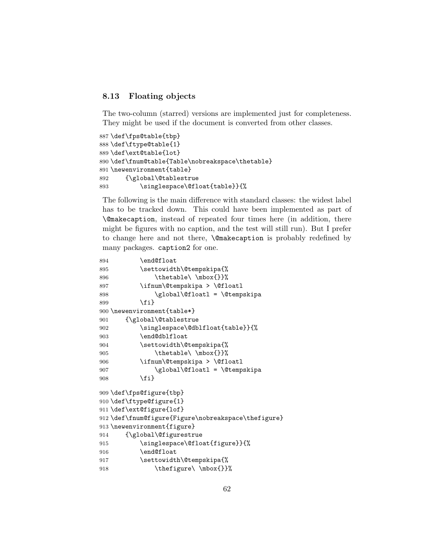### <span id="page-61-0"></span>8.13 Floating objects

The two-column (starred) versions are implemented just for completeness. They might be used if the document is converted from other classes.

```
887 \def\fps@table{tbp}
888 \def\ftype@table{1}
889 \def\ext@table{lot}
890 \def\fnum@table{Table\nobreakspace\thetable}
891 \newenvironment{table}
892 {\global\@tablestrue
893 \singlespace\@float{table}}{%
```
The following is the main difference with standard classes: the widest label has to be tracked down. This could have been implemented as part of \@makecaption, instead of repeated four times here (in addition, there might be figures with no caption, and the test will still run). But I prefer to change here and not there, \@makecaption is probably redefined by many packages. caption2 for one.

```
894 \end@float
895 \settowidth\@tempskipa{%
896 \thetable\ \mbox{}}%
897 \ifnum\@tempskipa > \@floatl
898 \global\@floatl = \@tempskipa
899 \fi}
900 \newenvironment{table*}
901 {\global\@tablestrue
902 \singlespace\@dblfloat{table}}{%
903 \end@dblfloat
904 \settowidth\@tempskipa{%
905 \thetable\ \mbox{}}%
906 \ifnum\@tempskipa > \@floatl
907 \global\@floatl = \@tempskipa
908 \fi}
909 \def\fps@figure{tbp}
910 \def\ftype@figure{1}
911 \def\ext@figure{lof}
912 \def\fnum@figure{Figure\nobreakspace\thefigure}
913 \newenvironment{figure}
914 {\global\@figurestrue
915 \singlespace\@float{figure}}{%
916 \end@float
917 \settowidth\@tempskipa{%
918 \thefigure\ \mbox{}}%
```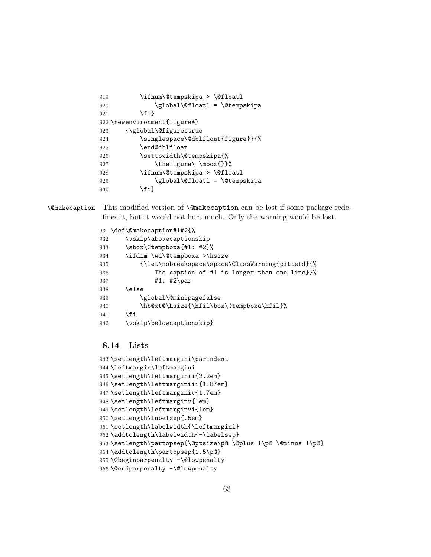| 919 | \ifnum\@tempskipa > \@floatl      |
|-----|-----------------------------------|
| 920 | \global\@floatl = \@tempskipa     |
| 921 | \fi}                              |
|     | 922 \newenvironment{figure*}      |
| 923 | {\global\@figurestrue             |
| 924 | \singlespace\@dblfloat{figure}}{% |
| 925 | \end@dblfloat                     |
| 926 | \settowidth\@tempskipa{%          |
| 927 | \thefigure\ \mbox{}}%             |
| 928 | \ifnum\@tempskipa > \@floatl      |
| 929 | \global\@floatl = \@tempskipa     |
| 930 | \fi}                              |

\@makecaption This modified version of \@makecaption can be lost if some package redefines it, but it would not hurt much. Only the warning would be lost.

```
931 \def\@makecaption#1#2{%
```

```
932 \vskip\abovecaptionskip
933 \sbox\@tempboxa{#1: #2}%
934 \ifdim \wd\@tempboxa >\hsize
935 {\let\nobreakspace\space\ClassWarning{pittetd}{%
936 The caption of #1 is longer than one line}}%
937 #1: #2\par
938 \else
939 \global\@minipagefalse
940 \hb@xt@\hsize{\hfil\box\@tempboxa\hfil}%
941 \fi
942 \vskip\belowcaptionskip}
```
# <span id="page-62-0"></span>8.14 Lists

```
943 \setlength\leftmargini\parindent
944 \leftmargin\leftmargini
945 \setlength\leftmarginii{2.2em}
946 \setlength\leftmarginiii{1.87em}
947 \setlength\leftmarginiv{1.7em}
948 \setlength\leftmarginv{1em}
949 \setlength\leftmarginvi{1em}
950 \setlength\labelsep{.5em}
951 \setlength\labelwidth{\leftmargini}
952 \addtolength\labelwidth{-\labelsep}
953 \setlength\partopsep{\@ptsize\p@ \@plus 1\p@ \@minus 1\p@}
954 \addtolength\partopsep{1.5\p@}
955 \@beginparpenalty -\@lowpenalty
956 \@endparpenalty -\@lowpenalty
```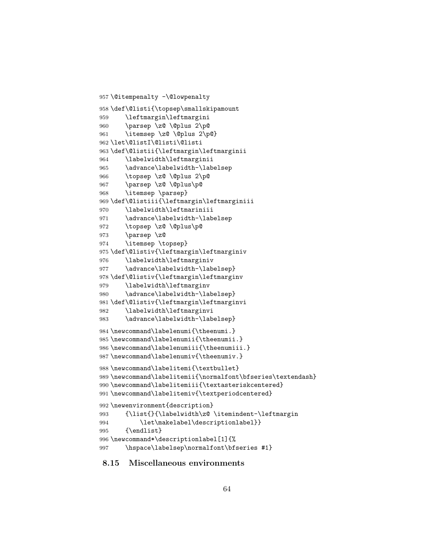```
957 \@itempenalty -\@lowpenalty
958 \def\@listi{\topsep\smallskipamount
959 \leftmargin\leftmargini
960 \parsep \z@ \@plus 2\p@
961 \itemsep \z@ \@plus 2\p@}
962 \let\@listI\@listi\@listi
963 \def\@listii{\leftmargin\leftmarginii
964 \labelwidth\leftmarginii
965 \advance\labelwidth-\labelsep
966 \topsep \z@ \@plus 2\p@
967 \parsep \z@ \@plus\p@
968 \itemsep \parsep}
969 \def\@listiii{\leftmargin\leftmarginiii
970 \labelwidth\leftmariniii
971 \advance\labelwidth-\labelsep
972 \topsep \z@ \@plus\p@
973 \parsep \z@
974 \itemsep \topsep}
975 \def\@listiv{\leftmargin\leftmarginiv
976 \labelwidth\leftmarginiv
977 \advance\labelwidth-\labelsep}
978 \def\@listiv{\leftmargin\leftmarginv
979 \labelwidth\leftmarginv
980 \advance\labelwidth-\labelsep}
981 \def\@listiv{\leftmargin\leftmarginvi
982 \labelwidth\leftmarginvi
983 \advance\labelwidth-\labelsep}
984 \newcommand\labelenumi{\theenumi.}
985 \newcommand\labelenumii{\theenumii.}
986 \newcommand\labelenumiii{\theenumiii.}
987 \newcommand\labelenumiv{\theenumiv.}
988 \newcommand\labelitemi{\textbullet}
989 \newcommand\labelitemii{\normalfont\bfseries\textendash}
990 \newcommand\labelitemiii{\textasteriskcentered}
991 \newcommand\labelitemiv{\textperiodcentered}
992 \newenvironment{description}
993 {\list{}{\labelwidth\z@ \itemindent-\leftmargin
994 \let\makelabel\descriptionlabel}}
995 {\endlist}
996 \newcommand*\descriptionlabel[1]{%
997 \hspace\labelsep\normalfont\bfseries #1}
```
### <span id="page-63-0"></span>8.15 Miscellaneous environments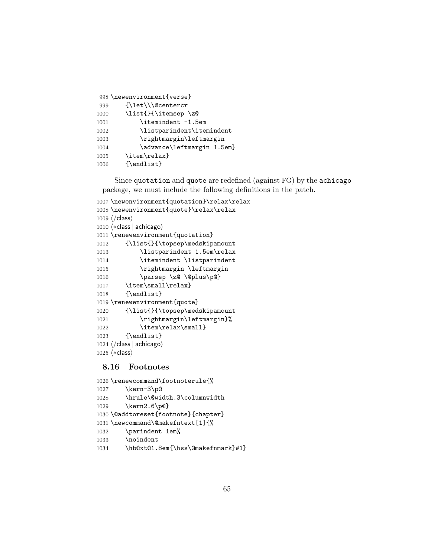|      | 998 \newenvironment{verse} |
|------|----------------------------|
| 999  | {\let\\\@centercr          |
| 1000 | \list{}{\itemsep\z@        |
| 1001 | \itemindent -1.5em         |
| 1002 | \listparindent\itemindent  |
| 1003 | \rightmargin\leftmargin    |
| 1004 | \advance\leftmargin 1.5em} |
| 1005 | \item\relax}               |
| 1006 | ${\end 1}$                 |

Since quotation and quote are redefined (against FG) by the achicago package, we must include the following definitions in the patch.

```
1007 \newenvironment{quotation}\relax\relax
1008 \newenvironment{quote}\relax\relax
1009 \ \langle / \text{class} \rangle1010 \langle *class | achicago \rangle1011 \renewenvironment{quotation}
1012 {\list{}{\topsep\medskipamount
1013 \listparindent 1.5em\relax
1014 \itemindent \listparindent
1015 \rightmargin \leftmargin
1016 \parsep \z@ \@plus\p@}
1017 \item\small\relax}
1018 {\endlist}
1019 \renewenvironment{quote}
1020 {\list{}{\topsep\medskipamount
1021 \rightmargin\leftmargin}%
1022 \item\relax\small}
1023 {\endlist}
1024 \; \langle / \text{class} \, | \, \text{achicago} \rangle1025 \langle *class \rangle
```
# <span id="page-64-0"></span>8.16 Footnotes

```
1026 \renewcommand\footnoterule{%
1027 \kern-3\p@
1028 \hrule\@width.3\columnwidth
1029 \kern2.6\p@}
1030 \@addtoreset{footnote}{chapter}
1031 \newcommand\@makefntext[1]{%
1032 \parindent 1em%
1033 \noindent
1034 \hb@xt@1.8em{\hss\@makefnmark}#1}
```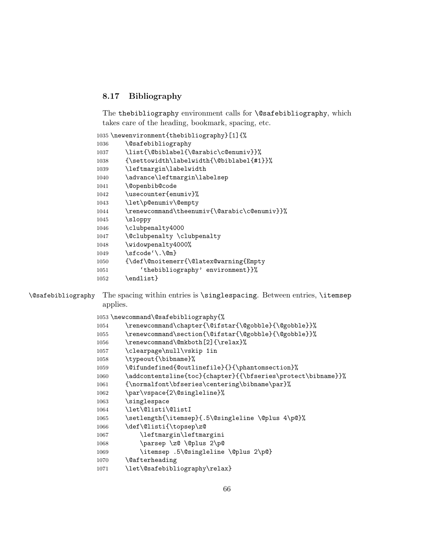# <span id="page-65-0"></span>8.17 Bibliography

The thebibliography environment calls for **\@safebibliography**, which takes care of the heading, bookmark, spacing, etc.

\newenvironment{thebibliography}[1]{%

| {\settowidth\labelwidth{\@biblabel{#1}}%     |
|----------------------------------------------|
|                                              |
|                                              |
|                                              |
|                                              |
|                                              |
|                                              |
|                                              |
| \renewcommand\theenumiv{\@arabic\c@enumiv}}% |
|                                              |
|                                              |
|                                              |
|                                              |
|                                              |
|                                              |
|                                              |
|                                              |
|                                              |

\@safebibliography The spacing within entries is \singlespacing. Between entries, \itemsep applies.

|      | 1053 \newcommand\@safebibliography{%                         |
|------|--------------------------------------------------------------|
| 1054 | \renewcommand\chapter{\@ifstar{\@gobble}{\@gobble}}%         |
| 1055 | \renewcommand\section{\@ifstar{\@gobble}{\@gobble}}%         |
| 1056 | \renewcommand\@mkboth[2]{\relax}%                            |
| 1057 | \clearpage\null\vskip 1in                                    |
| 1058 | \typeout{\bibname}%                                          |
| 1059 | \@ifundefined{@outlinefile}{}{\phantomsection}%              |
| 1060 | \addcontentsline{toc}{chapter}{{\bfseries\protect\bibname}}% |
| 1061 | {\normalfont\bfseries\centering\bibname\par}%                |
| 1062 | \par\vspace{2\@singleline}%                                  |
| 1063 | \singlespace                                                 |
| 1064 | \let\@listi\@listI                                           |
| 1065 | \setlength{\itemsep}{.5\@singleline \@plus 4\p@}%            |
| 1066 | \def\@listi{\topsep\z@                                       |
| 1067 | \leftmargin\leftmargini                                      |
| 1068 | \parsep \z@ \@plus 2\p@                                      |
| 1069 | \itemsep .5\@singleline \@plus 2\p@}                         |
| 1070 | <i><u><b>Neafterheading</b></u></i>                          |
| 1071 | \let\@safebibliography\relax}                                |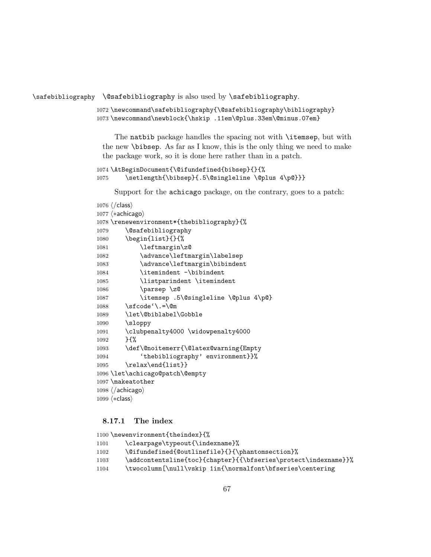\safebibliography \@safebibliography is also used by \safebibliography.

```
1072 \newcommand\safebibliography{\@safebibliography\bibliography}
1073 \newcommand\newblock{\hskip .11em\@plus.33em\@minus.07em}
```
The natbib package handles the spacing not with **\itemsep**, but with the new \bibsep. As far as I know, this is the only thing we need to make the package work, so it is done here rather than in a patch.

```
1074 \AtBeginDocument{\@ifundefined{bibsep}{}{%
1075 \setlength{\bibsep}{.5\@singleline \@plus 4\p@}}}
```
Support for the achicago package, on the contrary, goes to a patch:

| $1076 \ \langle / \text{class} \rangle$                |
|--------------------------------------------------------|
| $1077$ $\langle *achicago \rangle$                     |
| 1078 \renewenvironment*{thebibliography}{%             |
| <i>\</i> @safebibliography<br>1079                     |
| \begin{list}{}{%<br>1080                               |
| \leftmargin\z@<br>1081                                 |
| \advance\leftmargin\labelsep<br>1082                   |
| \advance\leftmargin\bibindent<br>1083                  |
| \itemindent -\bibindent<br>1084                        |
| \listparindent \itemindent<br>1085                     |
| \parsep \z@<br>1086                                    |
| \itemsep .5\@singleline \@plus 4\p@}<br>1087           |
| $\setminus$ sfcode' $\setminus$ .= $\oslash$ m<br>1088 |
| \let\@biblabel\Gobble<br>1089                          |
| \sloppy<br>1090                                        |
| \clubpenalty4000 \widowpenalty4000<br>1091             |
| $H^{\prime\prime}$<br>1092                             |
| \def\@noitemerr{\@latex@warning{Empty<br>1093          |
| 'thebibliography' environment}}%<br>1094               |
| \relax\end{list}}<br>1095                              |
| 1096 \let\achicago@patch\@empty                        |
| 1097 \makeatother                                      |
| $1098 \ \langle / \text{achicago} \rangle$             |
| 1099 (*class)                                          |

### <span id="page-66-0"></span>8.17.1 The index

```
1100 \newenvironment{theindex}{%
1101 \clearpage\typeout{\indexname}%
1102 \@ifundefined{@outlinefile}{}{\phantomsection}%
1103 \addcontentsline{toc}{chapter}{{\bfseries\protect\indexname}}%
1104 \twocolumn[\null\vskip 1in{\normalfont\bfseries\centering
```